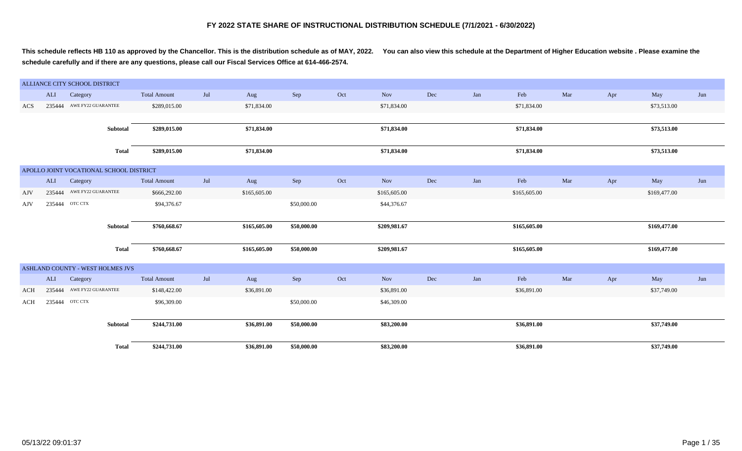**This schedule reflects HB 110 as approved by the Chancellor. This is the distribution schedule as of MAY, 2022. You can also view this schedule at the Department of Higher Education website . Please examine the schedule carefully and if there are any questions, please call our Fiscal Services Office at 614-466-2574.**

|     |        | ALLIANCE CITY SCHOOL DISTRICT           |                     |     |              |             |     |              |     |     |              |     |     |              |     |
|-----|--------|-----------------------------------------|---------------------|-----|--------------|-------------|-----|--------------|-----|-----|--------------|-----|-----|--------------|-----|
|     | ALI    | Category                                | <b>Total Amount</b> | Jul | Aug          | Sep         | Oct | Nov          | Dec | Jan | Feb          | Mar | Apr | May          | Jun |
| ACS |        | 235444 AWE FY22 GUARANTEE               | \$289,015.00        |     | \$71,834.00  |             |     | \$71,834.00  |     |     | \$71,834.00  |     |     | \$73,513.00  |     |
|     |        |                                         |                     |     |              |             |     |              |     |     |              |     |     |              |     |
|     |        | Subtotal                                | \$289,015.00        |     | \$71,834.00  |             |     | \$71,834.00  |     |     | \$71,834.00  |     |     | \$73,513.00  |     |
|     |        | <b>Total</b>                            | \$289,015.00        |     | \$71,834.00  |             |     | \$71,834.00  |     |     | \$71,834.00  |     |     | \$73,513.00  |     |
|     |        | APOLLO JOINT VOCATIONAL SCHOOL DISTRICT |                     |     |              |             |     |              |     |     |              |     |     |              |     |
|     | ALI    | Category                                | <b>Total Amount</b> | Jul | Aug          | Sep         | Oct | Nov          | Dec | Jan | Feb          | Mar | Apr | May          | Jun |
| AJV |        | 235444 AWE FY22 GUARANTEE               | \$666,292.00        |     | \$165,605.00 |             |     | \$165,605.00 |     |     | \$165,605.00 |     |     | \$169,477.00 |     |
| AJV | 235444 | OTC CTX                                 | \$94,376.67         |     |              | \$50,000.00 |     | \$44,376.67  |     |     |              |     |     |              |     |
|     |        |                                         |                     |     |              |             |     |              |     |     |              |     |     |              |     |
|     |        | Subtotal                                | \$760,668.67        |     | \$165,605.00 | \$50,000.00 |     | \$209,981.67 |     |     | \$165,605.00 |     |     | \$169,477.00 |     |
|     |        | <b>Total</b>                            | \$760,668.67        |     | \$165,605.00 | \$50,000.00 |     | \$209,981.67 |     |     | \$165,605.00 |     |     | \$169,477.00 |     |
|     |        | ASHLAND COUNTY - WEST HOLMES JVS        |                     |     |              |             |     |              |     |     |              |     |     |              |     |
|     | ALI    | Category                                | <b>Total Amount</b> | Jul | Aug          | Sep         | Oct | <b>Nov</b>   | Dec | Jan | Feb          | Mar | Apr | May          | Jun |
| ACH |        | 235444 AWE FY22 GUARANTEE               | \$148,422.00        |     | \$36,891.00  |             |     | \$36,891.00  |     |     | \$36,891.00  |     |     | \$37,749.00  |     |
| ACH |        | 235444 OTC CTX                          | \$96,309.00         |     |              | \$50,000.00 |     | \$46,309.00  |     |     |              |     |     |              |     |
|     |        | Subtotal                                | \$244,731.00        |     | \$36,891.00  | \$50,000.00 |     | \$83,200.00  |     |     | \$36,891.00  |     |     | \$37,749.00  |     |
|     |        | <b>Total</b>                            | \$244,731.00        |     | \$36,891.00  | \$50,000.00 |     | \$83,200.00  |     |     | \$36,891.00  |     |     | \$37,749.00  |     |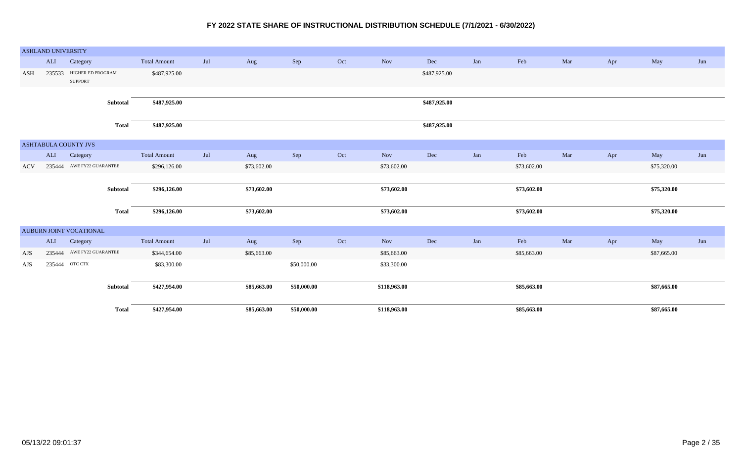|     | <b>ASHLAND UNIVERSITY</b> |                                            |                     |     |             |             |     |              |              |     |             |     |     |             |     |
|-----|---------------------------|--------------------------------------------|---------------------|-----|-------------|-------------|-----|--------------|--------------|-----|-------------|-----|-----|-------------|-----|
|     | ALI                       | Category                                   | <b>Total Amount</b> | Jul | Aug         | Sep         | Oct | Nov          | Dec          | Jan | Feb         | Mar | Apr | May         | Jun |
| ASH |                           | 235533 HIGHER ED PROGRAM<br><b>SUPPORT</b> | \$487,925.00        |     |             |             |     |              | \$487,925.00 |     |             |     |     |             |     |
|     |                           |                                            |                     |     |             |             |     |              |              |     |             |     |     |             |     |
|     |                           | Subtotal                                   | \$487,925.00        |     |             |             |     |              | \$487,925.00 |     |             |     |     |             |     |
|     |                           | <b>Total</b>                               | \$487,925.00        |     |             |             |     |              | \$487,925.00 |     |             |     |     |             |     |
|     |                           | ASHTABULA COUNTY JVS                       |                     |     |             |             |     |              |              |     |             |     |     |             |     |
|     | ALI                       | Category                                   | <b>Total Amount</b> | Jul | Aug         | Sep         | Oct | Nov          | Dec          | Jan | Feb         | Mar | Apr | May         | Jun |
| ACV |                           | 235444 AWE FY22 GUARANTEE                  | \$296,126.00        |     | \$73,602.00 |             |     | \$73,602.00  |              |     | \$73,602.00 |     |     | \$75,320.00 |     |
|     |                           |                                            |                     |     |             |             |     |              |              |     |             |     |     |             |     |
|     |                           | Subtotal                                   | \$296,126.00        |     | \$73,602.00 |             |     | \$73,602.00  |              |     | \$73,602.00 |     |     | \$75,320.00 |     |
|     |                           | <b>Total</b>                               | \$296,126.00        |     | \$73,602.00 |             |     | \$73,602.00  |              |     | \$73,602.00 |     |     | \$75,320.00 |     |
|     |                           | AUBURN JOINT VOCATIONAL                    |                     |     |             |             |     |              |              |     |             |     |     |             |     |
|     | ALI                       | Category                                   | <b>Total Amount</b> | Jul | Aug         | Sep         | Oct | Nov          | Dec          | Jan | Feb         | Mar | Apr | May         | Jun |
| AJS |                           |                                            |                     |     |             |             |     |              |              |     |             |     |     |             |     |
|     |                           | 235444 AWE FY22 GUARANTEE                  | \$344,654.00        |     | \$85,663.00 |             |     | \$85,663.00  |              |     | \$85,663.00 |     |     | \$87,665.00 |     |
| AJS |                           | 235444 OTC CTX                             | \$83,300.00         |     |             | \$50,000.00 |     | \$33,300.00  |              |     |             |     |     |             |     |
|     |                           |                                            |                     |     |             |             |     |              |              |     |             |     |     |             |     |
|     |                           | Subtotal                                   | \$427,954.00        |     | \$85,663.00 | \$50,000.00 |     | \$118,963.00 |              |     | \$85,663.00 |     |     | \$87,665.00 |     |
|     |                           | <b>Total</b>                               | \$427,954.00        |     | \$85,663.00 | \$50,000.00 |     | \$118,963.00 |              |     | \$85,663.00 |     |     | \$87,665.00 |     |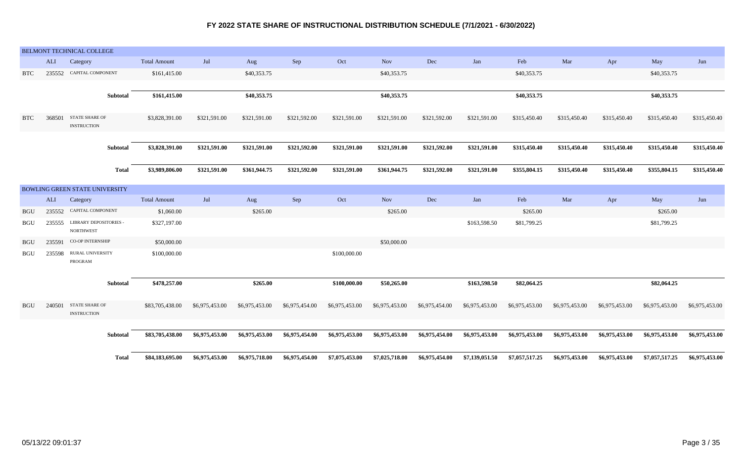|            |        | BELMONT TECHNICAL COLLEGE                         |                     |                |                |                |                |                |                |                |                |                |                |                |                |
|------------|--------|---------------------------------------------------|---------------------|----------------|----------------|----------------|----------------|----------------|----------------|----------------|----------------|----------------|----------------|----------------|----------------|
|            | ALI    | Category                                          | <b>Total Amount</b> | Jul            | Aug            | Sep            | Oct            | <b>Nov</b>     | Dec            | Jan            | Feb            | Mar            | Apr            | May            | Jun            |
| <b>BTC</b> | 235552 | CAPITAL COMPONENT                                 | \$161,415.00        |                | \$40,353.75    |                |                | \$40,353.75    |                |                | \$40,353.75    |                |                | \$40,353.75    |                |
|            |        |                                                   |                     |                |                |                |                |                |                |                |                |                |                |                |                |
|            |        | Subtotal                                          | \$161,415.00        |                | \$40,353.75    |                |                | \$40,353.75    |                |                | \$40,353.75    |                |                | \$40,353.75    |                |
|            |        |                                                   |                     |                |                |                |                |                |                |                |                |                |                |                |                |
| <b>BTC</b> | 368501 | <b>STATE SHARE OF</b><br><b>INSTRUCTION</b>       | \$3,828,391.00      | \$321,591.00   | \$321,591.00   | \$321,592.00   | \$321,591.00   | \$321,591.00   | \$321,592.00   | \$321,591.00   | \$315,450.40   | \$315,450.40   | \$315,450.40   | \$315,450.40   | \$315,450.40   |
|            |        |                                                   |                     |                |                |                |                |                |                |                |                |                |                |                |                |
|            |        | Subtotal                                          | \$3,828,391.00      | \$321,591.00   | \$321,591.00   | \$321,592.00   | \$321,591.00   | \$321,591.00   | \$321,592.00   | \$321,591.00   | \$315,450.40   | \$315,450.40   | \$315,450.40   | \$315,450.40   | \$315,450.40   |
|            |        | <b>Total</b>                                      | \$3,989,806.00      | \$321,591.00   | \$361,944.75   | \$321,592.00   | \$321,591.00   | \$361,944.75   | \$321,592.00   | \$321,591.00   | \$355,804.15   | \$315,450.40   | \$315,450.40   | \$355,804.15   | \$315,450.40   |
|            |        |                                                   |                     |                |                |                |                |                |                |                |                |                |                |                |                |
|            |        | <b>BOWLING GREEN STATE UNIVERSITY</b>             |                     |                |                |                |                |                |                |                |                |                |                |                |                |
|            | ALI    | Category                                          | <b>Total Amount</b> | Jul            | Aug            | Sep            | Oct            | <b>Nov</b>     | Dec            | Jan            | Feb            | Mar            | Apr            | May            | Jun            |
| <b>BGU</b> | 235552 | CAPITAL COMPONENT                                 | \$1,060.00          |                | \$265.00       |                |                | \$265.00       |                |                | \$265.00       |                |                | \$265.00       |                |
| <b>BGU</b> | 235555 | <b>LIBRARY DEPOSITORIES -</b><br><b>NORTHWEST</b> | \$327,197.00        |                |                |                |                |                |                | \$163,598.50   | \$81,799.25    |                |                | \$81,799.25    |                |
| <b>BGU</b> | 235591 | CO-OP INTERNSHIP                                  | \$50,000.00         |                |                |                |                | \$50,000.00    |                |                |                |                |                |                |                |
| <b>BGU</b> | 235598 | RURAL UNIVERSITY<br>PROGRAM                       | \$100,000.00        |                |                |                | \$100,000.00   |                |                |                |                |                |                |                |                |
|            |        |                                                   |                     |                |                |                |                |                |                |                |                |                |                |                |                |
|            |        | Subtotal                                          | \$478,257.00        |                | \$265.00       |                | \$100,000.00   | \$50,265.00    |                | \$163,598.50   | \$82,064.25    |                |                | \$82,064.25    |                |
| <b>BGU</b> | 240501 | <b>STATE SHARE OF</b><br><b>INSTRUCTION</b>       | \$83,705,438.00     | \$6,975,453.00 | \$6,975,453.00 | \$6,975,454.00 | \$6,975,453.00 | \$6,975,453.00 | \$6,975,454.00 | \$6,975,453.00 | \$6,975,453.00 | \$6,975,453.00 | \$6,975,453.00 | \$6,975,453.00 | \$6,975,453.00 |
|            |        |                                                   |                     |                |                |                |                |                |                |                |                |                |                |                |                |
|            |        | Subtotal                                          | \$83,705,438.00     | \$6,975,453.00 | \$6,975,453.00 | \$6,975,454.00 | \$6,975,453.00 | \$6,975,453.00 | \$6,975,454.00 | \$6,975,453.00 | \$6,975,453.00 | \$6,975,453.00 | \$6,975,453.00 | \$6,975,453.00 | \$6,975,453.00 |
|            |        | <b>Total</b>                                      | \$84,183,695.00     | \$6,975,453.00 | \$6,975,718.00 | \$6,975,454.00 | \$7,075,453.00 | \$7,025,718.00 | \$6,975,454.00 | \$7,139,051.50 | \$7,057,517.25 | \$6,975,453.00 | \$6,975,453.00 | \$7,057,517.25 | \$6,975,453.00 |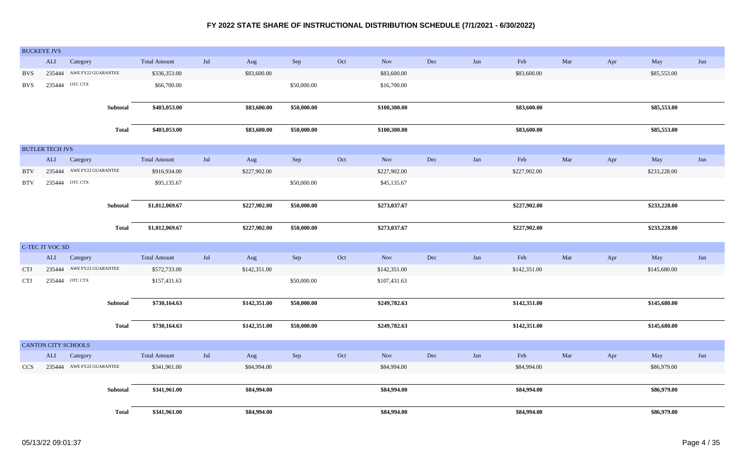|            | <b>BUCKEYE JVS</b>     |                            |              |                     |                   |              |             |                             |              |     |             |              |     |     |              |     |
|------------|------------------------|----------------------------|--------------|---------------------|-------------------|--------------|-------------|-----------------------------|--------------|-----|-------------|--------------|-----|-----|--------------|-----|
|            | ALI                    | Category                   |              | <b>Total Amount</b> | $_{\mathrm{Jul}}$ | Aug          | Sep         | Oct                         | Nov          | Dec | Jan         | Feb          | Mar | Apr | May          | Jun |
| <b>BVS</b> | 235444                 | AWE FY22 GUARANTEE         |              | \$336,353.00        |                   | \$83,600.00  |             |                             | \$83,600.00  |     |             | \$83,600.00  |     |     | \$85,553.00  |     |
| <b>BVS</b> | 235444                 | OTC CTX                    |              | \$66,700.00         |                   |              | \$50,000.00 |                             | \$16,700.00  |     |             |              |     |     |              |     |
|            |                        |                            |              |                     |                   |              |             |                             |              |     |             |              |     |     |              |     |
|            |                        |                            | Subtotal     | \$403,053.00        |                   | \$83,600.00  | \$50,000.00 |                             | \$100,300.00 |     |             | \$83,600.00  |     |     | \$85,553.00  |     |
|            |                        |                            |              |                     |                   |              |             |                             |              |     |             |              |     |     |              |     |
|            |                        |                            | <b>Total</b> | \$403,053.00        |                   | \$83,600.00  | \$50,000.00 |                             | \$100,300.00 |     |             | \$83,600.00  |     |     | \$85,553.00  |     |
|            | <b>BUTLER TECH JVS</b> |                            |              |                     |                   |              |             |                             |              |     |             |              |     |     |              |     |
|            | ALI                    | Category                   |              | <b>Total Amount</b> | Jul               | Aug          | Sep         | Oct                         | Nov          | Dec | Jan         | Feb          | Mar | Apr | May          | Jun |
| <b>BTV</b> | 235444                 | AWE FY22 GUARANTEE         |              | \$916,934.00        |                   | \$227,902.00 |             |                             | \$227,902.00 |     |             | \$227,902.00 |     |     | \$233,228.00 |     |
| <b>BTV</b> |                        | 235444 OTC CTX             |              | \$95,135.67         |                   |              | \$50,000.00 |                             | \$45,135.67  |     |             |              |     |     |              |     |
|            |                        |                            |              |                     |                   |              |             |                             |              |     |             |              |     |     |              |     |
|            |                        |                            | Subtotal     | \$1,012,069.67      |                   | \$227,902.00 | \$50,000.00 |                             | \$273,037.67 |     |             | \$227,902.00 |     |     | \$233,228.00 |     |
|            |                        |                            |              |                     |                   |              |             |                             |              |     |             |              |     |     |              |     |
|            |                        |                            | <b>Total</b> | \$1,012,069.67      |                   | \$227,902.00 | \$50,000.00 |                             | \$273,037.67 |     |             | \$227,902.00 |     |     | \$233,228.00 |     |
|            |                        |                            |              |                     |                   |              |             |                             |              |     |             |              |     |     |              |     |
|            | C-TEC JT VOC SD        |                            |              |                     |                   |              |             |                             |              |     |             |              |     |     |              |     |
|            | $\mbox{ALI}$           | Category                   |              | <b>Total Amount</b> | $\mathrm{Jul}$    | Aug          | Sep         | $\mathop{\rm Oct}\nolimits$ | Nov          | Dec | ${\it Jan}$ | Feb          | Mar | Apr | May          | Jun |
| <b>CTJ</b> | 235444                 | AWE FY22 GUARANTEE         |              | \$572,733.00        |                   | \$142,351.00 |             |                             | \$142,351.00 |     |             | \$142,351.00 |     |     | \$145,680.00 |     |
| <b>CTJ</b> | 235444                 | OTC CTX                    |              | \$157,431.63        |                   |              | \$50,000.00 |                             | \$107,431.63 |     |             |              |     |     |              |     |
|            |                        |                            |              |                     |                   |              |             |                             |              |     |             |              |     |     |              |     |
|            |                        |                            | Subtotal     | \$730,164.63        |                   | \$142,351.00 | \$50,000.00 |                             | \$249,782.63 |     |             | \$142,351.00 |     |     | \$145,680.00 |     |
|            |                        |                            |              | \$730,164.63        |                   |              |             |                             |              |     |             | \$142,351.00 |     |     | \$145,680.00 |     |
|            |                        |                            | <b>Total</b> |                     |                   | \$142,351.00 | \$50,000.00 |                             | \$249,782.63 |     |             |              |     |     |              |     |
|            |                        | <b>CANTON CITY SCHOOLS</b> |              |                     |                   |              |             |                             |              |     |             |              |     |     |              |     |
|            | $\mbox{ALI}$           | Category                   |              | <b>Total Amount</b> | $_{\rm{Jul}}$     | Aug          | Sep         | Oct                         | Nov          | Dec | ${\rm Jan}$ | Feb          | Mar | Apr | May          | Jun |
| <b>CCS</b> |                        | 235444 AWE FY22 GUARANTEE  |              | \$341,961.00        |                   | \$84,994.00  |             |                             | \$84,994.00  |     |             | \$84,994.00  |     |     | \$86,979.00  |     |
|            |                        |                            |              |                     |                   |              |             |                             |              |     |             |              |     |     |              |     |
|            |                        |                            | Subtotal     | \$341,961.00        |                   | \$84,994.00  |             |                             | \$84,994.00  |     |             | \$84,994.00  |     |     | \$86,979.00  |     |
|            |                        |                            |              |                     |                   |              |             |                             |              |     |             |              |     |     |              |     |
|            |                        |                            | Total        | \$341,961.00        |                   | \$84,994.00  |             |                             | \$84,994.00  |     |             | \$84,994.00  |     |     | \$86,979.00  |     |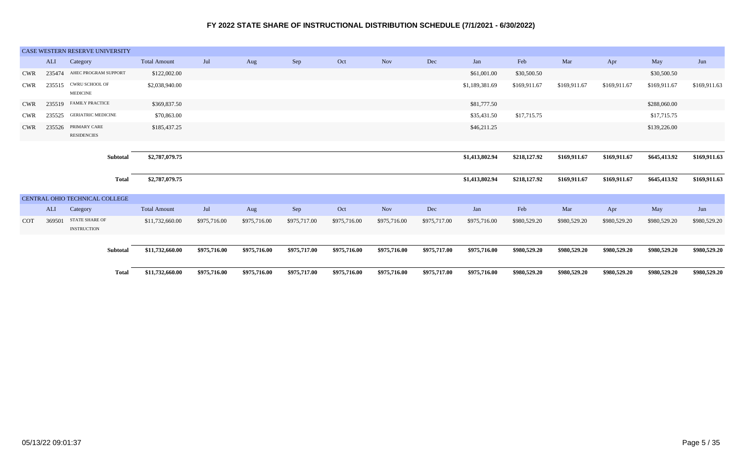|            |        | CASE WESTERN RESERVE UNIVERSITY      |                     |              |              |              |              |              |              |                |              |              |              |              |              |
|------------|--------|--------------------------------------|---------------------|--------------|--------------|--------------|--------------|--------------|--------------|----------------|--------------|--------------|--------------|--------------|--------------|
|            | ALI    | Category                             | <b>Total Amount</b> | Jul          | Aug          | Sep          | Oct          | <b>Nov</b>   | Dec          | Jan            | Feb          | Mar          | Apr          | May          | Jun          |
| <b>CWR</b> | 235474 | AHEC PROGRAM SUPPORT                 | \$122,002.00        |              |              |              |              |              |              | \$61,001.00    | \$30,500.50  |              |              | \$30,500.50  |              |
| <b>CWR</b> | 235515 | CWRU SCHOOL OF<br><b>MEDICINE</b>    | \$2,038,940.00      |              |              |              |              |              |              | \$1,189,381.69 | \$169,911.67 | \$169,911.67 | \$169,911.67 | \$169,911.67 | \$169,911.63 |
| <b>CWR</b> |        | 235519 FAMILY PRACTICE               | \$369,837.50        |              |              |              |              |              |              | \$81,777.50    |              |              |              | \$288,060.00 |              |
| <b>CWR</b> | 235525 | <b>GERIATRIC MEDICINE</b>            | \$70,863.00         |              |              |              |              |              |              | \$35,431.50    | \$17,715.75  |              |              | \$17,715.75  |              |
| <b>CWR</b> | 235526 | PRIMARY CARE<br><b>RESIDENCIES</b>   | \$185,437.25        |              |              |              |              |              |              | \$46,211.25    |              |              |              | \$139,226.00 |              |
|            |        |                                      |                     |              |              |              |              |              |              |                |              |              |              |              |              |
|            |        | Subtotal                             | \$2,787,079.75      |              |              |              |              |              |              | \$1,413,802.94 | \$218,127.92 | \$169,911.67 | \$169,911.67 | \$645,413.92 | \$169,911.63 |
|            |        | Total                                | \$2,787,079.75      |              |              |              |              |              |              | \$1,413,802.94 | \$218,127.92 | \$169,911.67 | \$169,911.67 | \$645,413.92 | \$169,911.63 |
|            |        | CENTRAL OHIO TECHNICAL COLLEGE       |                     |              |              |              |              |              |              |                |              |              |              |              |              |
|            | ALI    | Category                             | <b>Total Amount</b> | Jul          | Aug          | Sep          | Oct          | <b>Nov</b>   | Dec          | Jan            | Feb          | Mar          | Apr          | May          | Jun          |
| <b>COT</b> | 369501 | STATE SHARE OF<br><b>INSTRUCTION</b> | \$11,732,660.00     | \$975,716.00 | \$975,716.00 | \$975,717.00 | \$975,716.00 | \$975,716.00 | \$975,717.00 | \$975,716.00   | \$980,529.20 | \$980,529.20 | \$980,529.20 | \$980,529.20 | \$980,529.20 |
|            |        | Subtotal                             | \$11,732,660.00     | \$975,716.00 | \$975,716.00 | \$975,717.00 | \$975,716.00 | \$975,716.00 | \$975,717.00 | \$975,716.00   | \$980,529.20 | \$980,529.20 | \$980,529.20 | \$980,529.20 | \$980,529.20 |
|            |        | Total                                | \$11,732,660.00     | \$975,716.00 | \$975,716.00 | \$975,717.00 | \$975,716.00 | \$975,716.00 | \$975,717.00 | \$975,716.00   | \$980,529.20 | \$980,529.20 | \$980,529.20 | \$980,529.20 | \$980,529.20 |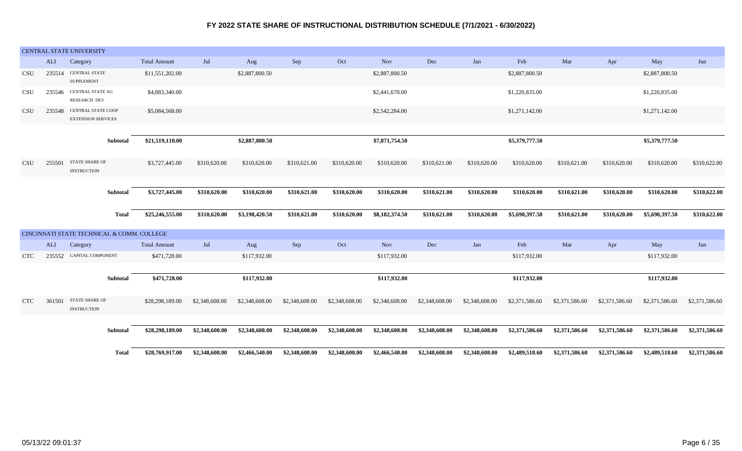|            |        | CENTRAL STATE UNIVERSITY                               |                     |                |                |                |                |                |                |                |                |                |                |                |                |
|------------|--------|--------------------------------------------------------|---------------------|----------------|----------------|----------------|----------------|----------------|----------------|----------------|----------------|----------------|----------------|----------------|----------------|
|            | ALI    | Category                                               | <b>Total Amount</b> | Jul            | Aug            | Sep            | Oct            | <b>Nov</b>     | Dec            | Jan            | Feb            | Mar            | Apr            | May            | Jun            |
| <b>CSU</b> | 235514 | <b>CENTRAL STATE</b><br><b>SUPPLEMENT</b>              | \$11,551,202.00     |                | \$2,887,800.50 |                |                | \$2,887,800.50 |                |                | \$2,887,800.50 |                |                | \$2,887,800.50 |                |
| <b>CSU</b> |        | 235546 CENTRAL STATE AG<br><b>RESEARCH DEV</b>         | \$4,883,340.00      |                |                |                |                | \$2,441,670.00 |                |                | \$1,220,835.00 |                |                | \$1,220,835.00 |                |
| <b>CSU</b> | 235548 | <b>CENTRAL STATE COOP</b><br><b>EXTENSION SERVICES</b> | \$5,084,568.00      |                |                |                |                | \$2,542,284.00 |                |                | \$1,271,142.00 |                |                | \$1,271,142.00 |                |
|            |        |                                                        |                     |                |                |                |                |                |                |                |                |                |                |                |                |
|            |        | Subtotal                                               | \$21,519,110.00     |                | \$2,887,800.50 |                |                | \$7,871,754.50 |                |                | \$5,379,777.50 |                |                | \$5,379,777.50 |                |
| <b>CSU</b> | 255501 | <b>STATE SHARE OF</b><br><b>INSTRUCTION</b>            | \$3,727,445.00      | \$310,620.00   | \$310,620.00   | \$310,621.00   | \$310,620.00   | \$310,620.00   | \$310,621.00   | \$310,620.00   | \$310,620.00   | \$310,621.00   | \$310,620.00   | \$310,620.00   | \$310,622.00   |
|            |        |                                                        |                     |                |                |                |                |                |                |                |                |                |                |                |                |
|            |        | Subtotal                                               | \$3,727,445.00      | \$310,620.00   | \$310,620.00   | \$310,621.00   | \$310,620.00   | \$310,620.00   | \$310,621.00   | \$310,620.00   | \$310,620.00   | \$310,621.00   | \$310,620.00   | \$310,620.00   | \$310,622.00   |
|            |        | <b>Total</b>                                           | \$25,246,555.00     | \$310,620.00   | \$3,198,420.50 | \$310,621.00   | \$310,620.00   | \$8,182,374.50 | \$310,621.00   | \$310,620.00   | \$5,690,397.50 | \$310,621.00   | \$310,620.00   | \$5,690,397.50 | \$310,622.00   |
|            |        | CINCINNATI STATE TECHNICAL & COMM. COLLEGE             |                     |                |                |                |                |                |                |                |                |                |                |                |                |
|            | ALI    | Category                                               | <b>Total Amount</b> | Jul            | Aug            | Sep            | Oct            | <b>Nov</b>     | Dec            | Jan            | Feb            | Mar            | Apr            | May            | Jun            |
| <b>CTC</b> | 235552 | CAPITAL COMPONENT                                      | \$471,728.00        |                | \$117,932.00   |                |                | \$117,932.00   |                |                | \$117,932.00   |                |                | \$117,932.00   |                |
|            |        | Subtotal                                               | \$471,728.00        |                | \$117,932.00   |                |                | \$117,932.00   |                |                | \$117,932.00   |                |                | \$117,932.00   |                |
| <b>CTC</b> | 361501 | <b>STATE SHARE OF</b><br><b>INSTRUCTION</b>            | \$28,298,189.00     | \$2,348,608.00 | \$2,348,608.00 | \$2,348,608.00 | \$2,348,608.00 | \$2,348,608.00 | \$2,348,608.00 | \$2,348,608.00 | \$2,371,586.60 | \$2,371,586.60 | \$2,371,586.60 | \$2,371,586.60 | \$2,371,586.60 |
|            |        | Subtotal                                               | \$28,298,189.00     | \$2,348,608.00 | \$2,348,608.00 | \$2,348,608.00 | \$2,348,608.00 | \$2,348,608.00 | \$2,348,608.00 | \$2,348,608.00 | \$2,371,586.60 | \$2,371,586.60 | \$2,371,586.60 | \$2,371,586.60 | \$2,371,586.60 |
|            |        | <b>Total</b>                                           | \$28,769,917.00     | \$2,348,608.00 | \$2,466,540.00 | \$2,348,608.00 | \$2,348,608.00 | \$2,466,540.00 | \$2,348,608.00 | \$2,348,608.00 | \$2,489,518.60 | \$2,371,586.60 | \$2,371,586.60 | \$2,489,518.60 | \$2,371,586.60 |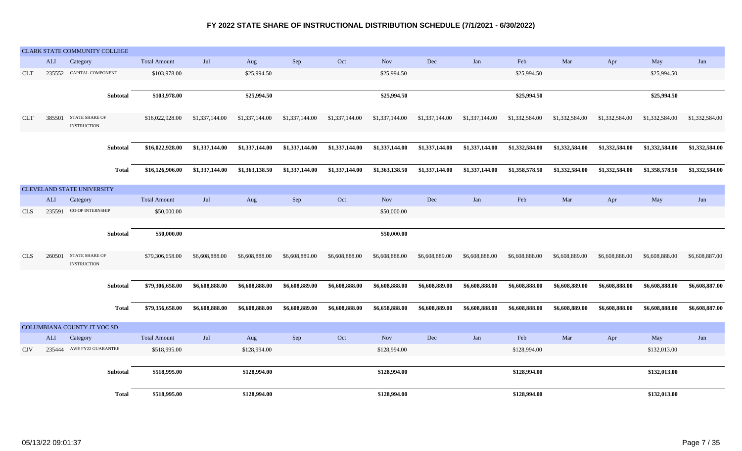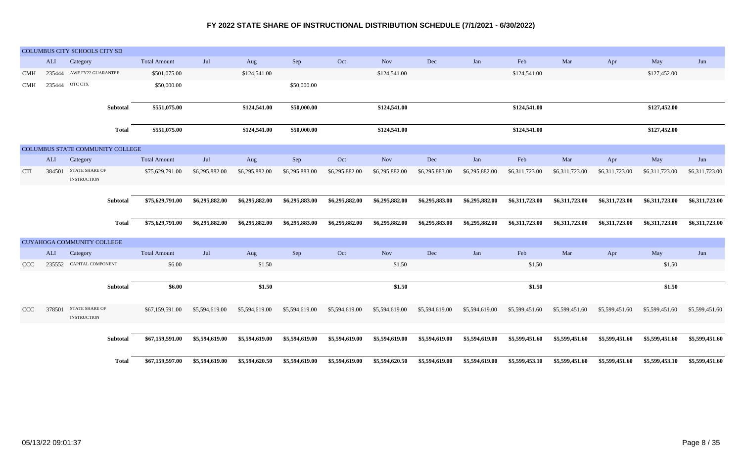|            |        | COLUMBUS CITY SCHOOLS CITY SD     |              |                     |                |                |                |                |                |                |                |                |                |                |                |                |
|------------|--------|-----------------------------------|--------------|---------------------|----------------|----------------|----------------|----------------|----------------|----------------|----------------|----------------|----------------|----------------|----------------|----------------|
|            |        |                                   |              |                     |                |                |                |                |                |                |                |                |                |                |                |                |
|            | ALI    | Category                          |              | <b>Total Amount</b> | Jul            | Aug            | Sep            | Oct            | <b>Nov</b>     | Dec            | Jan            | Feb            | Mar            | Apr            | May            | Jun            |
| <b>CMH</b> | 235444 | AWE FY22 GUARANTEE                |              | \$501,075.00        |                | \$124,541.00   |                |                | \$124,541.00   |                |                | \$124,541.00   |                |                | \$127,452.00   |                |
| <b>CMH</b> | 235444 | OTC CTX                           |              | \$50,000.00         |                |                | \$50,000.00    |                |                |                |                |                |                |                |                |                |
|            |        |                                   |              |                     |                |                |                |                |                |                |                |                |                |                |                |                |
|            |        |                                   | Subtotal     | \$551,075.00        |                | \$124,541.00   | \$50,000.00    |                | \$124,541.00   |                |                | \$124,541.00   |                |                | \$127,452.00   |                |
|            |        |                                   |              |                     |                |                |                |                |                |                |                |                |                |                |                |                |
|            |        |                                   | <b>Total</b> | \$551,075.00        |                | \$124,541.00   | \$50,000.00    |                | \$124,541.00   |                |                | \$124,541.00   |                |                | \$127,452.00   |                |
|            |        |                                   |              |                     |                |                |                |                |                |                |                |                |                |                |                |                |
|            |        | COLUMBUS STATE COMMUNITY COLLEGE  |              |                     |                |                |                |                |                |                |                |                |                |                |                |                |
|            | ALI    | Category                          |              | <b>Total Amount</b> | Jul            | Aug            | Sep            | Oct            | <b>Nov</b>     | Dec            | Jan            | Feb            | Mar            | Apr            | May            | Jun            |
| <b>CTI</b> | 384501 | STATE SHARE OF                    |              | \$75,629,791.00     | \$6,295,882.00 | \$6,295,882.00 | \$6,295,883.00 | \$6,295,882.00 | \$6,295,882.00 | \$6,295,883.00 | \$6,295,882.00 | \$6,311,723.00 | \$6,311,723.00 | \$6,311,723.00 | \$6,311,723.00 | \$6,311,723.00 |
|            |        | <b>INSTRUCTION</b>                |              |                     |                |                |                |                |                |                |                |                |                |                |                |                |
|            |        |                                   |              |                     |                |                |                |                |                |                |                |                |                |                |                |                |
|            |        |                                   | Subtotal     | \$75,629,791.00     | \$6,295,882.00 | \$6,295,882.00 | \$6,295,883.00 | \$6,295,882.00 | \$6,295,882.00 | \$6,295,883.00 | \$6,295,882.00 | \$6,311,723.00 | \$6,311,723.00 | \$6,311,723.00 | \$6,311,723.00 | \$6,311,723.00 |
|            |        |                                   |              |                     |                |                |                |                |                |                |                |                |                |                |                |                |
|            |        |                                   | <b>Total</b> | \$75,629,791.00     | \$6,295,882.00 | \$6,295,882.00 | \$6,295,883.00 | \$6,295,882.00 | \$6,295,882.00 | \$6,295,883.00 | \$6,295,882.00 | \$6,311,723.00 | \$6,311,723.00 | \$6,311,723.00 | \$6,311,723.00 | \$6,311,723.00 |
|            |        |                                   |              |                     |                |                |                |                |                |                |                |                |                |                |                |                |
|            |        | <b>CUYAHOGA COMMUNITY COLLEGE</b> |              |                     |                |                |                |                |                |                |                |                |                |                |                |                |
|            | ALI    | Category                          |              | <b>Total Amount</b> | Jul            | Aug            | Sep            | Oct            | <b>Nov</b>     | Dec            | Jan            | Feb            | Mar            | Apr            | May            | Jun            |
| <b>CCC</b> |        | 235552 CAPITAL COMPONENT          |              | \$6.00              |                | \$1.50         |                |                | \$1.50         |                |                | \$1.50         |                |                | \$1.50         |                |
|            |        |                                   |              |                     |                |                |                |                |                |                |                |                |                |                |                |                |
|            |        |                                   | Subtotal     | \$6.00              |                | \$1.50         |                |                | \$1.50         |                |                | \$1.50         |                |                | \$1.50         |                |
|            |        |                                   |              |                     |                |                |                |                |                |                |                |                |                |                |                |                |
| <b>CCC</b> | 378501 | <b>STATE SHARE OF</b>             |              | \$67,159,591.00     | \$5,594,619.00 | \$5,594,619.00 | \$5,594,619.00 | \$5,594,619.00 | \$5,594,619.00 | \$5,594,619.00 | \$5,594,619.00 | \$5,599,451.60 | \$5,599,451.60 | \$5,599,451.60 | \$5,599,451.60 | \$5,599,451.60 |
|            |        | <b>INSTRUCTION</b>                |              |                     |                |                |                |                |                |                |                |                |                |                |                |                |
|            |        |                                   |              |                     |                |                |                |                |                |                |                |                |                |                |                |                |
|            |        |                                   | Subtotal     | \$67,159,591.00     | \$5,594,619.00 | \$5,594,619.00 | \$5,594,619.00 | \$5,594,619.00 | \$5,594,619.00 | \$5,594,619.00 | \$5,594,619.00 | \$5,599,451.60 | \$5,599,451.60 | \$5,599,451.60 | \$5,599,451.60 | \$5,599,451.60 |
|            |        |                                   |              |                     |                |                |                |                |                |                |                |                |                |                |                |                |
|            |        |                                   | <b>Total</b> | \$67,159,597.00     | \$5,594,619.00 | \$5,594,620.50 | \$5,594,619.00 | \$5,594,619.00 | \$5,594,620.50 | \$5,594,619.00 | \$5,594,619.00 | \$5,599,453.10 | \$5,599,451.60 | \$5,599,451.60 | \$5,599,453.10 | \$5,599,451.60 |
|            |        |                                   |              |                     |                |                |                |                |                |                |                |                |                |                |                |                |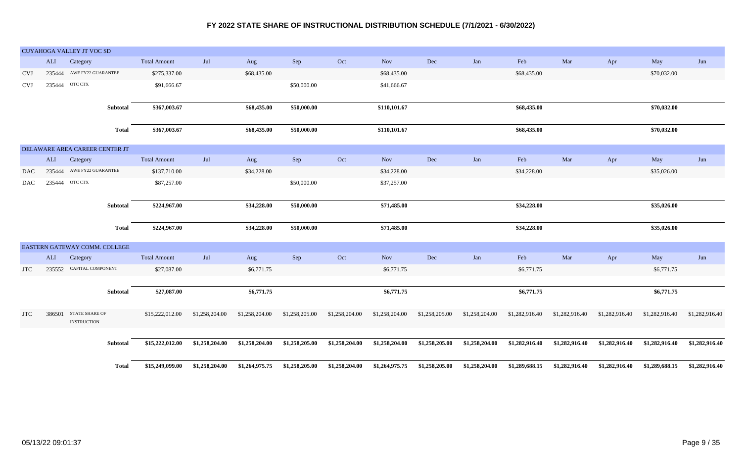|            |              | <b>CUYAHOGA VALLEY JT VOC SD</b>            |              |                     |                |                |                |                |                |                |                |                |                |                |                |                |
|------------|--------------|---------------------------------------------|--------------|---------------------|----------------|----------------|----------------|----------------|----------------|----------------|----------------|----------------|----------------|----------------|----------------|----------------|
|            | ALI          | Category                                    |              | <b>Total Amount</b> | Jul            | Aug            | Sep            | Oct            | <b>Nov</b>     | $\rm Dec$      | Jan            | Feb            | Mar            | Apr            | May            | Jun            |
| <b>CVJ</b> | 235444       | AWE FY22 GUARANTEE                          |              | \$275,337.00        |                | \$68,435.00    |                |                | \$68,435.00    |                |                | \$68,435.00    |                |                | \$70,032.00    |                |
| <b>CVJ</b> | 235444       | OTC CTX                                     |              | \$91,666.67         |                |                | \$50,000.00    |                | \$41,666.67    |                |                |                |                |                |                |                |
|            |              |                                             |              |                     |                |                |                |                |                |                |                |                |                |                |                |                |
|            |              |                                             | Subtotal     | \$367,003.67        |                | \$68,435.00    | \$50,000.00    |                | \$110,101.67   |                |                | \$68,435.00    |                |                | \$70,032.00    |                |
|            |              |                                             | <b>Total</b> | \$367,003.67        |                | \$68,435.00    | \$50,000.00    |                | \$110,101.67   |                |                | \$68,435.00    |                |                | \$70,032.00    |                |
|            |              |                                             |              |                     |                |                |                |                |                |                |                |                |                |                |                |                |
|            |              | DELAWARE AREA CAREER CENTER JT              |              |                     |                |                |                |                |                |                |                |                |                |                |                |                |
|            | $\mbox{ALI}$ | Category                                    |              | <b>Total Amount</b> | Jul            | Aug            | Sep            | Oct            | Nov            | Dec            | Jan            | Feb            | Mar            | Apr            | May            | Jun            |
| DAC        | 235444       | AWE FY22 GUARANTEE                          |              | \$137,710.00        |                | \$34,228.00    |                |                | \$34,228.00    |                |                | \$34,228.00    |                |                | \$35,026.00    |                |
| <b>DAC</b> | 235444       | OTC CTX                                     |              | \$87,257.00         |                |                | \$50,000.00    |                | \$37,257.00    |                |                |                |                |                |                |                |
|            |              |                                             |              |                     |                |                |                |                |                |                |                |                |                |                |                |                |
|            |              |                                             | Subtotal     | \$224,967.00        |                | \$34,228.00    | \$50,000.00    |                | \$71,485.00    |                |                | \$34,228.00    |                |                | \$35,026.00    |                |
|            |              |                                             |              |                     |                |                |                |                |                |                |                |                |                |                |                |                |
|            |              |                                             | <b>Total</b> | \$224,967.00        |                | \$34,228.00    | \$50,000.00    |                | \$71,485.00    |                |                | \$34,228.00    |                |                | \$35,026.00    |                |
|            |              | EASTERN GATEWAY COMM. COLLEGE               |              |                     |                |                |                |                |                |                |                |                |                |                |                |                |
|            | ALI          | Category                                    |              | <b>Total Amount</b> | Jul            | Aug            | Sep            | Oct            | Nov            | Dec            | Jan            | Feb            | Mar            | Apr            | May            | Jun            |
| <b>JTC</b> |              | 235552 CAPITAL COMPONENT                    |              | \$27,087.00         |                | \$6,771.75     |                |                | \$6,771.75     |                |                | \$6,771.75     |                |                | \$6,771.75     |                |
|            |              |                                             |              |                     |                |                |                |                |                |                |                |                |                |                |                |                |
|            |              |                                             | Subtotal     | \$27,087.00         |                | \$6,771.75     |                |                | \$6,771.75     |                |                | \$6,771.75     |                |                | \$6,771.75     |                |
|            |              |                                             |              |                     |                |                |                |                |                |                |                |                |                |                |                |                |
| <b>JTC</b> | 386501       | <b>STATE SHARE OF</b><br><b>INSTRUCTION</b> |              | \$15,222,012.00     | \$1,258,204.00 | \$1,258,204.00 | \$1,258,205.00 | \$1,258,204.00 | \$1,258,204.00 | \$1,258,205.00 | \$1,258,204.00 | \$1,282,916.40 | \$1,282,916.40 | \$1,282,916.40 | \$1,282,916.40 | \$1,282,916.40 |
|            |              |                                             |              |                     |                |                |                |                |                |                |                |                |                |                |                |                |
|            |              |                                             | Subtotal     | \$15,222,012.00     | \$1,258,204.00 | \$1,258,204.00 | \$1,258,205.00 | \$1,258,204.00 | \$1,258,204.00 | \$1,258,205.00 | \$1,258,204.00 | \$1,282,916.40 | \$1,282,916.40 | \$1,282,916.40 | \$1,282,916.40 | \$1,282,916.40 |
|            |              |                                             |              |                     |                |                |                |                |                |                |                |                |                |                |                |                |
|            |              |                                             | <b>Total</b> | \$15,249,099.00     | \$1,258,204.00 | \$1,264,975.75 | \$1,258,205.00 | \$1,258,204.00 | \$1,264,975.75 | \$1,258,205.00 | \$1,258,204.00 | \$1,289,688.15 | \$1,282,916.40 | \$1,282,916.40 | \$1,289,688.15 | \$1,282,916.40 |
|            |              |                                             |              |                     |                |                |                |                |                |                |                |                |                |                |                |                |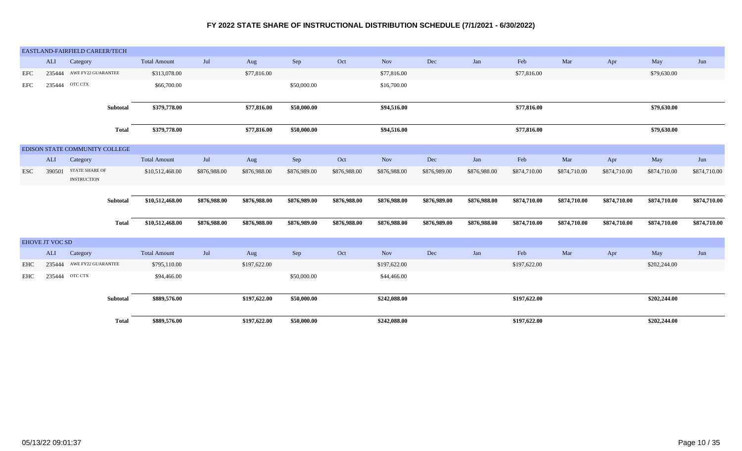|            |                        | EASTLAND-FAIRFIELD CAREER/TECH       |              |                     |              |              |              |              |              |              |              |              |              |              |              |              |
|------------|------------------------|--------------------------------------|--------------|---------------------|--------------|--------------|--------------|--------------|--------------|--------------|--------------|--------------|--------------|--------------|--------------|--------------|
|            | ALI                    | Category                             |              | <b>Total Amount</b> | Jul          | Aug          | Sep          | Oct          | <b>Nov</b>   | Dec          | Jan          | Feb          | Mar          | Apr          | May          | Jun          |
| EFC        | 235444                 | AWE FY22 GUARANTEE                   |              | \$313,078.00        |              | \$77,816.00  |              |              | \$77,816.00  |              |              | \$77,816.00  |              |              | \$79,630.00  |              |
| EFC        | 235444                 | OTC CTX                              |              | \$66,700.00         |              |              | \$50,000.00  |              | \$16,700.00  |              |              |              |              |              |              |              |
|            |                        |                                      |              |                     |              |              |              |              |              |              |              |              |              |              |              |              |
|            |                        |                                      | Subtotal     | \$379,778.00        |              | \$77,816.00  | \$50,000.00  |              | \$94,516.00  |              |              | \$77,816.00  |              |              | \$79,630.00  |              |
|            |                        |                                      | <b>Total</b> | \$379,778.00        |              | \$77,816.00  | \$50,000.00  |              | \$94,516.00  |              |              | \$77,816.00  |              |              | \$79,630.00  |              |
|            |                        |                                      |              |                     |              |              |              |              |              |              |              |              |              |              |              |              |
|            |                        | EDISON STATE COMMUNITY COLLEGE       |              |                     |              |              |              |              |              |              |              |              |              |              |              |              |
|            | ALI                    | Category                             |              | <b>Total Amount</b> | Jul          | Aug          | Sep          | Oct          | <b>Nov</b>   | Dec          | Jan          | Feb          | Mar          | Apr          | May          | Jun          |
| <b>ESC</b> | 390501                 | STATE SHARE OF<br><b>INSTRUCTION</b> |              | \$10,512,468.00     | \$876,988.00 | \$876,988.00 | \$876,989.00 | \$876,988.00 | \$876,988.00 | \$876,989.00 | \$876,988.00 | \$874,710.00 | \$874,710.00 | \$874,710.00 | \$874,710.00 | \$874,710.00 |
|            |                        |                                      |              |                     |              |              |              |              |              |              |              |              |              |              |              |              |
|            |                        |                                      | Subtotal     | \$10,512,468.00     | \$876,988.00 | \$876,988.00 | \$876,989.00 | \$876,988.00 | \$876,988.00 | \$876,989.00 | \$876,988.00 | \$874,710.00 | \$874,710.00 | \$874,710.00 | \$874,710.00 | \$874,710.00 |
|            |                        |                                      | Total        | \$10,512,468.00     | \$876,988.00 | \$876,988.00 | \$876,989.00 | \$876,988.00 | \$876,988.00 | \$876,989.00 | \$876,988.00 | \$874,710.00 | \$874,710.00 | \$874,710.00 | \$874,710.00 | \$874,710.00 |
|            | <b>EHOVE JT VOC SD</b> |                                      |              |                     |              |              |              |              |              |              |              |              |              |              |              |              |
|            | ALI                    | Category                             |              | <b>Total Amount</b> | Jul          | Aug          | Sep          | Oct          | Nov          | $\rm Dec$    | Jan          | Feb          | Mar          | Apr          | May          | Jun          |
| EHC        | 235444                 | AWE FY22 GUARANTEE                   |              | \$795,110.00        |              | \$197,622.00 |              |              | \$197,622.00 |              |              | \$197,622.00 |              |              | \$202,244.00 |              |
| EHC        | 235444                 | OTC CTX                              |              | \$94,466.00         |              |              | \$50,000.00  |              | \$44,466.00  |              |              |              |              |              |              |              |
|            |                        |                                      | Subtotal     | \$889,576.00        |              | \$197,622.00 | \$50,000.00  |              | \$242,088.00 |              |              | \$197,622.00 |              |              | \$202,244.00 |              |
|            |                        |                                      | <b>Total</b> | \$889,576.00        |              | \$197,622.00 | \$50,000.00  |              | \$242,088.00 |              |              | \$197,622.00 |              |              | \$202,244.00 |              |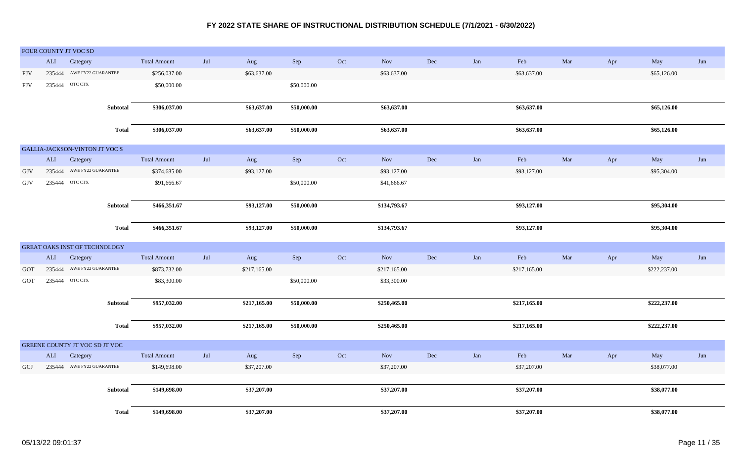|            |              | FOUR COUNTY JT VOC SD          |              |                     |                   |              |             |     |              |     |     |              |     |     |              |     |
|------------|--------------|--------------------------------|--------------|---------------------|-------------------|--------------|-------------|-----|--------------|-----|-----|--------------|-----|-----|--------------|-----|
|            | $\mbox{ALI}$ | Category                       |              | <b>Total Amount</b> | Jul               | Aug          | Sep         | Oct | Nov          | Dec | Jan | Feb          | Mar | Apr | May          | Jun |
| FJV        |              | 235444 AWE FY22 GUARANTEE      |              | \$256,037.00        |                   | \$63,637.00  |             |     | \$63,637.00  |     |     | \$63,637.00  |     |     | \$65,126.00  |     |
| <b>FJV</b> |              | 235444 OTC CTX                 |              | \$50,000.00         |                   |              | \$50,000.00 |     |              |     |     |              |     |     |              |     |
|            |              |                                |              |                     |                   |              |             |     |              |     |     |              |     |     |              |     |
|            |              |                                | Subtotal     | \$306,037.00        |                   | \$63,637.00  | \$50,000.00 |     | \$63,637.00  |     |     | \$63,637.00  |     |     | \$65,126.00  |     |
|            |              |                                |              |                     |                   |              |             |     |              |     |     |              |     |     |              |     |
|            |              |                                | <b>Total</b> | \$306,037.00        |                   | \$63,637.00  | \$50,000.00 |     | \$63,637.00  |     |     | \$63,637.00  |     |     | \$65,126.00  |     |
|            |              | GALLIA-JACKSON-VINTON JT VOC S |              |                     |                   |              |             |     |              |     |     |              |     |     |              |     |
|            | ALI          | Category                       |              | <b>Total Amount</b> | Jul               | Aug          | Sep         | Oct | Nov          | Dec | Jan | Feb          | Mar | Apr | May          | Jun |
| GJV        |              | 235444 AWE FY22 GUARANTEE      |              | \$374,685.00        |                   | \$93,127.00  |             |     | \$93,127.00  |     |     | \$93,127.00  |     |     | \$95,304.00  |     |
| GJV        |              | 235444 OTC CTX                 |              | \$91,666.67         |                   |              | \$50,000.00 |     | \$41,666.67  |     |     |              |     |     |              |     |
|            |              |                                |              |                     |                   |              |             |     |              |     |     |              |     |     |              |     |
|            |              |                                | Subtotal     | \$466,351.67        |                   | \$93,127.00  | \$50,000.00 |     | \$134,793.67 |     |     | \$93,127.00  |     |     | \$95,304.00  |     |
|            |              |                                |              |                     |                   |              |             |     |              |     |     |              |     |     |              |     |
|            |              |                                | <b>Total</b> | \$466,351.67        |                   | \$93,127.00  | \$50,000.00 |     | \$134,793.67 |     |     | \$93,127.00  |     |     | \$95,304.00  |     |
|            |              |                                |              |                     |                   |              |             |     |              |     |     |              |     |     |              |     |
|            |              | GREAT OAKS INST OF TECHNOLOGY  |              |                     |                   |              |             |     |              |     |     |              |     |     |              |     |
|            | $\mbox{ALI}$ | Category                       |              | <b>Total Amount</b> | Jul               | Aug          | Sep         | Oct | Nov          | Dec | Jan | Feb          | Mar | Apr | May          | Jun |
| GOT        | 235444       | AWE FY22 GUARANTEE             |              | \$873,732.00        |                   | \$217,165.00 |             |     | \$217,165.00 |     |     | \$217,165.00 |     |     | \$222,237.00 |     |
| <b>GOT</b> | 235444       | OTC CTX                        |              | \$83,300.00         |                   |              | \$50,000.00 |     | \$33,300.00  |     |     |              |     |     |              |     |
|            |              |                                |              |                     |                   |              |             |     |              |     |     |              |     |     |              |     |
|            |              |                                | Subtotal     | \$957,032.00        |                   | \$217,165.00 | \$50,000.00 |     | \$250,465.00 |     |     | \$217,165.00 |     |     | \$222,237.00 |     |
|            |              |                                | <b>Total</b> | \$957,032.00        |                   | \$217,165.00 | \$50,000.00 |     | \$250,465.00 |     |     | \$217,165.00 |     |     | \$222,237.00 |     |
|            |              |                                |              |                     |                   |              |             |     |              |     |     |              |     |     |              |     |
|            |              | GREENE COUNTY JT VOC SD JT VOC |              |                     |                   |              |             |     |              |     |     |              |     |     |              |     |
|            | ALI          | Category                       |              | <b>Total Amount</b> | $_{\mathrm{Jul}}$ | Aug          | Sep         | Oct | Nov          | Dec | Jan | Feb          | Mar | Apr | May          | Jun |
| GCJ        |              | 235444 AWE FY22 GUARANTEE      |              | \$149,698.00        |                   | \$37,207.00  |             |     | \$37,207.00  |     |     | \$37,207.00  |     |     | \$38,077.00  |     |
|            |              |                                |              |                     |                   |              |             |     |              |     |     |              |     |     |              |     |
|            |              |                                | Subtotal     | \$149,698.00        |                   | \$37,207.00  |             |     | \$37,207.00  |     |     | \$37,207.00  |     |     | \$38,077.00  |     |
|            |              |                                |              |                     |                   |              |             |     |              |     |     |              |     |     |              |     |
|            |              |                                | <b>Total</b> | \$149,698.00        |                   | \$37,207.00  |             |     | \$37,207.00  |     |     | \$37,207.00  |     |     | \$38,077.00  |     |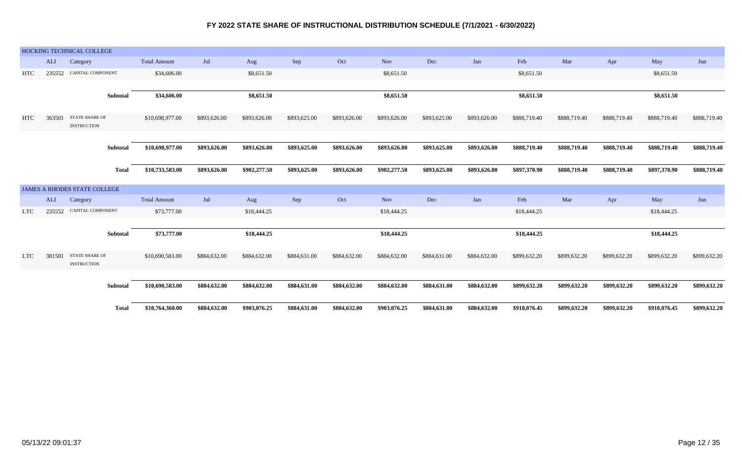|            |            | HOCKING TECHNICAL COLLEGE                   |                     |              |              |              |              |              |              |              |              |              |              |              |              |
|------------|------------|---------------------------------------------|---------------------|--------------|--------------|--------------|--------------|--------------|--------------|--------------|--------------|--------------|--------------|--------------|--------------|
|            | <b>ALI</b> | Category                                    | <b>Total Amount</b> | Jul          | Aug          | Sep          | Oct          | Nov          | $\rm Dec$    | Jan          | Feb          | Mar          | Apr          | May          | Jun          |
| <b>HTC</b> | 235552     | CAPITAL COMPONENT                           | \$34,606.00         |              | \$8,651.50   |              |              | \$8,651.50   |              |              | \$8,651.50   |              |              | \$8,651.50   |              |
|            |            |                                             |                     |              |              |              |              |              |              |              |              |              |              |              |              |
|            |            | Subtotal                                    | \$34,606.00         |              | \$8,651.50   |              |              | \$8,651.50   |              |              | \$8,651.50   |              |              | \$8,651.50   |              |
|            |            |                                             |                     |              |              |              |              |              |              |              |              |              |              |              |              |
| HTC        | 363501     | <b>STATE SHARE OF</b><br><b>INSTRUCTION</b> | \$10,698,977.00     | \$893,626.00 | \$893,626.00 | \$893,625.00 | \$893,626.00 | \$893,626.00 | \$893,625.00 | \$893,626.00 | \$888,719.40 | \$888,719.40 | \$888,719.40 | \$888,719.40 | \$888,719.40 |
|            |            |                                             |                     |              |              |              |              |              |              |              |              |              |              |              |              |
|            |            | Subtotal                                    | \$10,698,977.00     | \$893,626.00 | \$893,626.00 | \$893,625.00 | \$893,626.00 | \$893,626.00 | \$893,625.00 | \$893,626.00 | \$888,719.40 | \$888,719.40 | \$888,719.40 | \$888,719.40 | \$888,719.40 |
|            |            |                                             |                     |              |              |              |              |              |              |              |              |              |              |              |              |
|            |            | <b>Total</b>                                | \$10,733,583.00     | \$893,626.00 | \$902,277.50 | \$893,625.00 | \$893,626.00 | \$902,277.50 | \$893,625.00 | \$893,626.00 | \$897,370.90 | \$888,719.40 | \$888,719.40 | \$897,370.90 | \$888,719.40 |
|            |            | <b>JAMES A RHODES STATE COLLEGE</b>         |                     |              |              |              |              |              |              |              |              |              |              |              |              |
|            | ALI        | Category                                    | <b>Total Amount</b> | Jul          | Aug          | Sep          | Oct          | Nov          | Dec          | Jan          | Feb          | Mar          | Apr          | May          | Jun          |
| <b>LTC</b> | 235552     | CAPITAL COMPONENT                           | \$73,777.00         |              | \$18,444.25  |              |              | \$18,444.25  |              |              | \$18,444.25  |              |              | \$18,444.25  |              |
|            |            |                                             |                     |              |              |              |              |              |              |              |              |              |              |              |              |
|            |            | Subtotal                                    | \$73,777.00         |              | \$18,444.25  |              |              | \$18,444.25  |              |              | \$18,444.25  |              |              | \$18,444.25  |              |
|            |            |                                             |                     |              |              |              |              |              |              |              |              |              |              |              |              |
| <b>LTC</b> | 381501     | <b>STATE SHARE OF</b><br><b>INSTRUCTION</b> | \$10,690,583.00     | \$884,632.00 | \$884,632.00 | \$884,631.00 | \$884,632.00 | \$884,632.00 | \$884,631.00 | \$884,632.00 | \$899,632.20 | \$899,632.20 | \$899,632.20 | \$899,632.20 | \$899,632.20 |
|            |            |                                             |                     |              |              |              |              |              |              |              |              |              |              |              |              |
|            |            | Subtotal                                    | \$10,690,583.00     | \$884,632.00 | \$884,632.00 | \$884,631.00 | \$884,632.00 | \$884,632.00 | \$884,631.00 | \$884,632.00 | \$899,632.20 | \$899,632.20 | \$899,632.20 | \$899,632.20 | \$899,632.20 |
|            |            |                                             |                     |              |              |              |              |              |              |              |              |              |              |              |              |
|            |            | <b>Total</b>                                | \$10,764,360.00     | \$884,632.00 | \$903,076.25 | \$884,631.00 | \$884,632.00 | \$903,076.25 | \$884,631.00 | \$884,632.00 | \$918,076.45 | \$899,632.20 | \$899,632.20 | \$918,076.45 | \$899,632.20 |
|            |            |                                             |                     |              |              |              |              |              |              |              |              |              |              |              |              |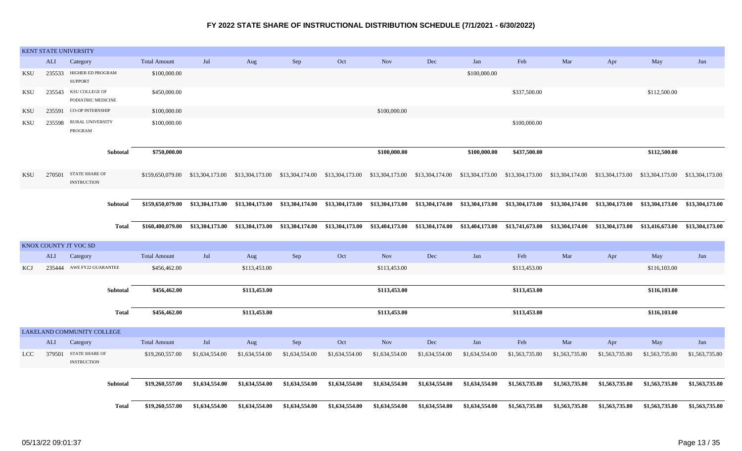|            |        | KENT STATE UNIVERSITY                       |                     |                                  |                 |                                                                                                                  |                |                                                 |                |                 |                                 |                                 |                                 |                 |                 |
|------------|--------|---------------------------------------------|---------------------|----------------------------------|-----------------|------------------------------------------------------------------------------------------------------------------|----------------|-------------------------------------------------|----------------|-----------------|---------------------------------|---------------------------------|---------------------------------|-----------------|-----------------|
|            | ALI    | Category                                    | <b>Total Amount</b> | Jul                              | Aug             | Sep                                                                                                              | Oct            | <b>Nov</b>                                      | Dec            | Jan             | Feb                             | Mar                             | Apr                             | May             | Jun             |
| KSU        |        | 235533 HIGHER ED PROGRAM<br><b>SUPPORT</b>  | \$100,000.00        |                                  |                 |                                                                                                                  |                |                                                 |                | \$100,000.00    |                                 |                                 |                                 |                 |                 |
| KSU        | 235543 | KSU COLLEGE OF<br>PODIATRIC MEDICINE        | \$450,000.00        |                                  |                 |                                                                                                                  |                |                                                 |                |                 | \$337,500.00                    |                                 |                                 | \$112,500.00    |                 |
| <b>KSU</b> | 235591 | <b>CO-OP INTERNSHIP</b>                     | \$100,000.00        |                                  |                 |                                                                                                                  |                | \$100,000.00                                    |                |                 |                                 |                                 |                                 |                 |                 |
| KSU        | 235598 | <b>RURAL UNIVERSITY</b><br>PROGRAM          | \$100,000.00        |                                  |                 |                                                                                                                  |                |                                                 |                |                 | \$100,000.00                    |                                 |                                 |                 |                 |
|            |        | Subtotal                                    | \$750,000.00        |                                  |                 |                                                                                                                  |                | \$100,000.00                                    |                | \$100,000.00    | \$437,500.00                    |                                 |                                 | \$112,500.00    |                 |
| KSU        | 270501 | <b>STATE SHARE OF</b><br><b>INSTRUCTION</b> |                     |                                  |                 | \$159,650,079.00 \$13,304,173.00 \$13,304,173.00 \$13,304,174.00 \$13,304,173.00 \$13,304,173.00 \$13,304,174.00 |                |                                                 |                |                 | \$13,304,173.00 \$13,304,173.00 | \$13,304,174.00 \$13,304,173.00 |                                 | \$13,304,173.00 | \$13,304,173.00 |
|            |        |                                             |                     |                                  |                 |                                                                                                                  |                |                                                 |                |                 |                                 |                                 |                                 |                 |                 |
|            |        | Subtotal                                    |                     | \$159,650,079.00 \$13,304,173.00 |                 | \$13,304,173.00 \$13,304,174.00                                                                                  |                | \$13,304,173.00 \$13,304,173.00 \$13,304,174.00 |                | \$13,304,173.00 | \$13,304,173.00                 |                                 | \$13,304,174.00 \$13,304,173.00 | \$13,304,173.00 | \$13,304,173.00 |
|            |        | <b>Total</b>                                | \$160,400,079.00    | \$13,304,173.00                  | \$13,304,173.00 | \$13,304,174.00                                                                                                  |                | \$13,304,173.00 \$13,404,173.00 \$13,304,174.00 |                | \$13,404,173.00 | \$13,741,673.00                 | \$13,304,174.00                 | \$13,304,173.00                 | \$13,416,673.00 | \$13,304,173.00 |
|            |        | KNOX COUNTY JT VOC SD                       |                     |                                  |                 |                                                                                                                  |                |                                                 |                |                 |                                 |                                 |                                 |                 |                 |
|            | ALI    | Category                                    | <b>Total Amount</b> | Jul                              | Aug             | Sep                                                                                                              | Oct            | <b>Nov</b>                                      | Dec            | Jan             | Feb                             | Mar                             | Apr                             | May             | Jun             |
| KCJ        |        | 235444 AWE FY22 GUARANTEE                   | \$456,462.00        |                                  | \$113,453.00    |                                                                                                                  |                | \$113,453.00                                    |                |                 | \$113,453.00                    |                                 |                                 | \$116,103.00    |                 |
|            |        | Subtotal                                    | \$456,462.00        |                                  | \$113,453.00    |                                                                                                                  |                | \$113,453.00                                    |                |                 | \$113,453.00                    |                                 |                                 | \$116,103.00    |                 |
|            |        | <b>Total</b>                                | \$456,462.00        |                                  | \$113,453.00    |                                                                                                                  |                | \$113,453.00                                    |                |                 | \$113,453.00                    |                                 |                                 | \$116,103.00    |                 |
|            |        | LAKELAND COMMUNITY COLLEGE                  |                     |                                  |                 |                                                                                                                  |                |                                                 |                |                 |                                 |                                 |                                 |                 |                 |
|            | ALI    | Category                                    | <b>Total Amount</b> | Jul                              | Aug             | Sep                                                                                                              | Oct            | <b>Nov</b>                                      | $\rm Dec$      | Jan             | Feb                             | Mar                             | Apr                             | May             | Jun             |
| <b>LCC</b> | 379501 | STATE SHARE OF<br><b>INSTRUCTION</b>        | \$19,260,557.00     | \$1,634,554.00                   | \$1,634,554.00  | \$1,634,554.00                                                                                                   | \$1,634,554.00 | \$1,634,554.00                                  | \$1,634,554.00 | \$1,634,554.00  | \$1,563,735.80                  | \$1,563,735.80                  | \$1,563,735.80                  | \$1,563,735.80  | \$1,563,735.80  |
|            |        | <b>Subtotal</b>                             | \$19,260,557.00     | \$1,634,554.00                   | \$1,634,554.00  | \$1,634,554.00                                                                                                   | \$1,634,554.00 | \$1,634,554.00                                  | \$1,634,554.00 | \$1,634,554.00  | \$1,563,735.80                  | \$1,563,735.80                  | \$1,563,735.80                  | \$1,563,735.80  | \$1,563,735.80  |
|            |        | Total                                       | \$19,260,557.00     | \$1,634,554.00                   | \$1,634,554.00  | \$1,634,554.00                                                                                                   | \$1,634,554.00 | \$1,634,554.00                                  | \$1,634,554.00 | \$1,634,554.00  | \$1,563,735.80                  | \$1,563,735.80                  | \$1,563,735.80                  | \$1,563,735.80  | \$1,563,735.80  |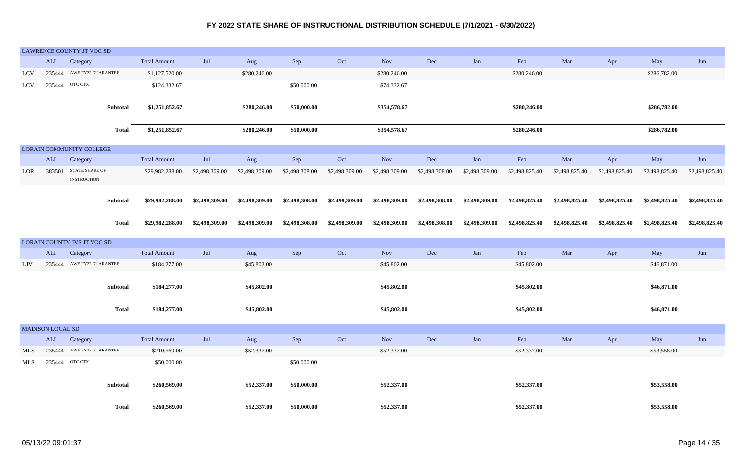|            |                  | LAWRENCE COUNTY JT VOC SD            |                     |                |                |                |                |                |                |                |                |                |                |                |                |
|------------|------------------|--------------------------------------|---------------------|----------------|----------------|----------------|----------------|----------------|----------------|----------------|----------------|----------------|----------------|----------------|----------------|
|            | ALI              | Category                             | <b>Total Amount</b> | Jul            | Aug            | Sep            | Oct            | Nov            | Dec            | Jan            | Feb            | Mar            | Apr            | May            | Jun            |
| <b>LCV</b> | 235444           | AWE FY22 GUARANTEE                   | \$1,127,520.00      |                | \$280,246.00   |                |                | \$280,246.00   |                |                | \$280,246.00   |                |                | \$286,782.00   |                |
| <b>LCV</b> | 235444           | OTC CTX                              | \$124,332.67        |                |                | \$50,000.00    |                | \$74,332.67    |                |                |                |                |                |                |                |
|            |                  | Subtotal                             | \$1,251,852.67      |                | \$280,246.00   | \$50,000.00    |                | \$354,578.67   |                |                | \$280,246.00   |                |                | \$286,782.00   |                |
|            |                  | <b>Total</b>                         | \$1,251,852.67      |                | \$280,246.00   | \$50,000.00    |                | \$354,578.67   |                |                | \$280,246.00   |                |                | \$286,782.00   |                |
|            |                  | LORAIN COMMUNITY COLLEGE             |                     |                |                |                |                |                |                |                |                |                |                |                |                |
|            | ALI              | Category                             | <b>Total Amount</b> | Jul            | Aug            | Sep            | Oct            | <b>Nov</b>     | Dec            | Jan            | Feb            | Mar            | Apr            | May            | Jun            |
| LOR        | 383501           | STATE SHARE OF<br><b>INSTRUCTION</b> | \$29,982,288.00     | \$2,498,309.00 | \$2,498,309.00 | \$2,498,308.00 | \$2,498,309.00 | \$2,498,309.00 | \$2,498,308.00 | \$2,498,309.00 | \$2,498,825.40 | \$2,498,825.40 | \$2,498,825.40 | \$2,498,825.40 | \$2,498,825.40 |
|            |                  |                                      |                     |                |                |                |                |                |                |                |                |                |                |                |                |
|            |                  | <b>Subtotal</b>                      | \$29,982,288.00     | \$2,498,309.00 | \$2,498,309.00 | \$2,498,308.00 | \$2,498,309.00 | \$2,498,309.00 | \$2,498,308.00 | \$2,498,309.00 | \$2,498,825.40 | \$2,498,825.40 | \$2,498,825.40 | \$2,498,825.40 | \$2,498,825.40 |
|            |                  | <b>Total</b>                         | \$29,982,288.00     | \$2,498,309.00 | \$2,498,309.00 | \$2,498,308.00 | \$2,498,309.00 | \$2,498,309.00 | \$2,498,308.00 | \$2,498,309.00 | \$2,498,825.40 | \$2,498,825.40 | \$2,498,825.40 | \$2,498,825.40 | \$2,498,825.40 |
|            |                  | LORAIN COUNTY JVS JT VOC SD          |                     |                |                |                |                |                |                |                |                |                |                |                |                |
|            | $\mbox{ALI}$     | Category                             | <b>Total Amount</b> | Jul            | Aug            | Sep            | Oct            | <b>Nov</b>     | Dec            | Jan            | Feb            | Mar            | Apr            | May            | Jun            |
| LJV        | 235444           | AWE FY22 GUARANTEE                   | \$184,277.00        |                | \$45,802.00    |                |                | \$45,802.00    |                |                | \$45,802.00    |                |                | \$46,871.00    |                |
|            |                  | Subtotal                             | \$184,277.00        |                | \$45,802.00    |                |                | \$45,802.00    |                |                | \$45,802.00    |                |                | \$46,871.00    |                |
|            |                  | <b>Total</b>                         | \$184,277.00        |                | \$45,802.00    |                |                | \$45,802.00    |                |                | \$45,802.00    |                |                | \$46,871.00    |                |
|            | MADISON LOCAL SD |                                      |                     |                |                |                |                |                |                |                |                |                |                |                |                |
|            | ALI              | Category                             | <b>Total Amount</b> | Jul            | Aug            | ${\rm Sep}$    | Oct            | <b>Nov</b>     | Dec            | Jan            | Feb            | Mar            | Apr            | May            | Jun            |
| MLS        | 235444           | AWE FY22 GUARANTEE                   | \$210,569.00        |                | \$52,337.00    |                |                | \$52,337.00    |                |                | \$52,337.00    |                |                | \$53,558.00    |                |
| MLS        | 235444           | OTC CTX                              | \$50,000.00         |                |                | \$50,000.00    |                |                |                |                |                |                |                |                |                |
|            |                  | <b>Subtotal</b>                      | \$260,569.00        |                | \$52,337.00    | \$50,000.00    |                | \$52,337.00    |                |                | \$52,337.00    |                |                | \$53,558.00    |                |
|            |                  |                                      |                     |                |                |                |                |                |                |                |                |                |                |                |                |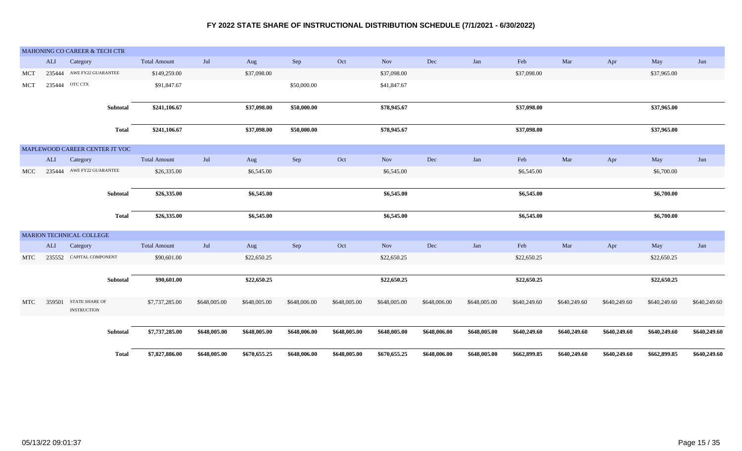|            |        | MAHONING CO CAREER & TECH CTR  |                     |                |              |              |              |              |              |              |              |              |              |              |              |
|------------|--------|--------------------------------|---------------------|----------------|--------------|--------------|--------------|--------------|--------------|--------------|--------------|--------------|--------------|--------------|--------------|
|            | ALI    | Category                       | <b>Total Amount</b> | $\mathrm{Jul}$ | Aug          | Sep          | Oct          | Nov          | Dec          | Jan          | Feb          | Mar          | Apr          | May          | Jun          |
| MCT        | 235444 | AWE FY22 GUARANTEE             | \$149,259.00        |                | \$37,098.00  |              |              | \$37,098.00  |              |              | \$37,098.00  |              |              | \$37,965.00  |              |
| MCT        | 235444 | OTC CTX                        | \$91,847.67         |                |              | \$50,000.00  |              | \$41,847.67  |              |              |              |              |              |              |              |
|            |        |                                |                     |                |              |              |              |              |              |              |              |              |              |              |              |
|            |        | Subtotal                       | \$241,106.67        |                | \$37,098.00  | \$50,000.00  |              | \$78,945.67  |              |              | \$37,098.00  |              |              | \$37,965.00  |              |
|            |        | <b>Total</b>                   | \$241,106.67        |                | \$37,098.00  | \$50,000.00  |              | \$78,945.67  |              |              | \$37,098.00  |              |              | \$37,965.00  |              |
|            |        |                                |                     |                |              |              |              |              |              |              |              |              |              |              |              |
|            |        | MAPLEWOOD CAREER CENTER JT VOC |                     |                |              |              |              |              |              |              |              |              |              |              |              |
|            | ALI    | Category                       | <b>Total Amount</b> | Jul            | Aug          | Sep          | Oct          | Nov          | $\rm Dec$    | Jan          | Feb          | Mar          | Apr          | May          | Jun          |
| <b>MCC</b> |        | 235444 AWE FY22 GUARANTEE      | \$26,335.00         |                | \$6,545.00   |              |              | \$6,545.00   |              |              | \$6,545.00   |              |              | \$6,700.00   |              |
|            |        |                                |                     |                |              |              |              |              |              |              |              |              |              |              |              |
|            |        | Subtotal                       | \$26,335.00         |                | \$6,545.00   |              |              | \$6,545.00   |              |              | \$6,545.00   |              |              | \$6,700.00   |              |
|            |        | Total                          | \$26,335.00         |                | \$6,545.00   |              |              | \$6,545.00   |              |              | \$6,545.00   |              |              | \$6,700.00   |              |
|            |        |                                |                     |                |              |              |              |              |              |              |              |              |              |              |              |
|            |        | MARION TECHNICAL COLLEGE       |                     |                |              |              |              |              |              |              |              |              |              |              |              |
|            | ALI    | Category                       | <b>Total Amount</b> | Jul            | Aug          | Sep          | Oct          | <b>Nov</b>   | Dec          | Jan          | Feb          | Mar          | Apr          | May          | Jun          |
| MTC        | 235552 | CAPITAL COMPONENT              | \$90,601.00         |                | \$22,650.25  |              |              | \$22,650.25  |              |              | \$22,650.25  |              |              | \$22,650.25  |              |
|            |        |                                |                     |                |              |              |              |              |              |              |              |              |              |              |              |
|            |        | Subtotal                       | \$90,601.00         |                | \$22,650.25  |              |              | \$22,650.25  |              |              | \$22,650.25  |              |              | \$22,650.25  |              |
| MTC        | 359501 | <b>STATE SHARE OF</b>          | \$7,737,285.00      | \$648,005.00   | \$648,005.00 | \$648,006.00 | \$648,005.00 | \$648,005.00 | \$648,006.00 | \$648,005.00 | \$640,249.60 | \$640,249.60 | \$640,249.60 | \$640,249.60 | \$640,249.60 |
|            |        | <b>INSTRUCTION</b>             |                     |                |              |              |              |              |              |              |              |              |              |              |              |
|            |        | Subtotal                       |                     | \$648,005.00   | \$648,005.00 | \$648,006.00 |              | \$648,005.00 |              |              |              |              |              |              |              |
|            |        |                                | \$7,737,285.00      |                |              |              | \$648,005.00 |              | \$648,006.00 | \$648,005.00 | \$640,249.60 | \$640,249.60 | \$640,249.60 | \$640,249.60 | \$640,249.60 |
|            |        | Total                          | \$7,827,886.00      | \$648,005.00   | \$670,655.25 | \$648,006.00 | \$648,005.00 | \$670,655.25 | \$648,006.00 | \$648,005.00 | \$662,899.85 | \$640,249.60 | \$640,249.60 | \$662,899.85 | \$640,249.60 |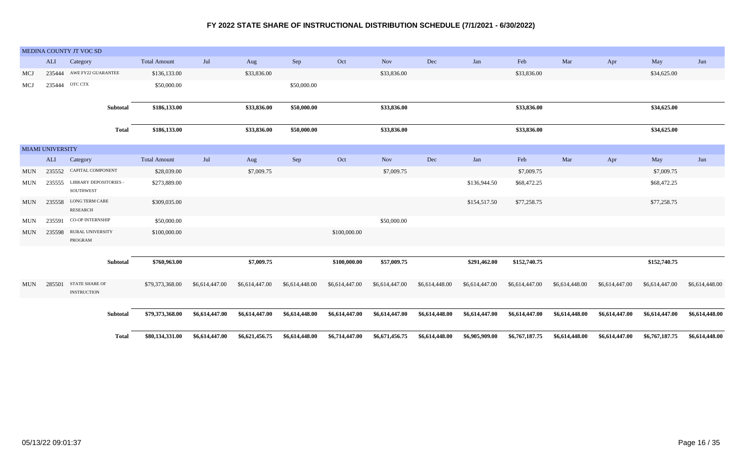|            |                  | MEDINA COUNTY JT VOC SD                     |                     |                |                |                |                |                |                |                |                |                |                |                |                |
|------------|------------------|---------------------------------------------|---------------------|----------------|----------------|----------------|----------------|----------------|----------------|----------------|----------------|----------------|----------------|----------------|----------------|
|            | <b>ALI</b>       | Category                                    | <b>Total Amount</b> | Jul            | Aug            | Sep            | Oct            | <b>Nov</b>     | Dec            | Jan            | Feb            | Mar            | Apr            | May            | Jun            |
| MCJ        |                  | 235444 AWE FY22 GUARANTEE                   | \$136,133.00        |                | \$33,836.00    |                |                | \$33,836.00    |                |                | \$33,836.00    |                |                | \$34,625.00    |                |
| MCJ        |                  | 235444 OTC CTX                              | \$50,000.00         |                |                | \$50,000.00    |                |                |                |                |                |                |                |                |                |
|            |                  | Subtotal                                    | \$186,133.00        |                | \$33,836.00    | \$50,000.00    |                | \$33,836.00    |                |                | \$33,836.00    |                |                | \$34,625.00    |                |
|            |                  | <b>Total</b>                                | \$186,133.00        |                | \$33,836.00    | \$50,000.00    |                | \$33,836.00    |                |                | \$33,836.00    |                |                | \$34,625.00    |                |
|            | MIAMI UNIVERSITY |                                             |                     |                |                |                |                |                |                |                |                |                |                |                |                |
|            | ALI              | Category                                    | <b>Total Amount</b> | $\mathrm{Jul}$ | Aug            | Sep            | Oct            | <b>Nov</b>     | Dec            | Jan            | Feb            | Mar            | Apr            | May            | Jun            |
| MUN        | 235552           | CAPITAL COMPONENT                           | \$28,039.00         |                | \$7,009.75     |                |                | \$7,009.75     |                |                | \$7,009.75     |                |                | \$7,009.75     |                |
| <b>MUN</b> | 235555           | <b>LIBRARY DEPOSITORIES -</b><br>SOUTHWEST  | \$273,889.00        |                |                |                |                |                |                | \$136,944.50   | \$68,472.25    |                |                | \$68,472.25    |                |
| MUN        | 235558           | LONG TERM CARE<br><b>RESEARCH</b>           | \$309,035.00        |                |                |                |                |                |                | \$154,517.50   | \$77,258.75    |                |                | \$77,258.75    |                |
| <b>MUN</b> | 235591           | <b>CO-OP INTERNSHIP</b>                     | \$50,000.00         |                |                |                |                | \$50,000.00    |                |                |                |                |                |                |                |
| MUN        | 235598           | RURAL UNIVERSITY<br>PROGRAM                 | \$100,000.00        |                |                |                | \$100,000.00   |                |                |                |                |                |                |                |                |
|            |                  |                                             |                     |                |                |                |                |                |                |                |                |                |                |                |                |
|            |                  | Subtotal                                    | \$760,963.00        |                | \$7,009.75     |                | \$100,000.00   | \$57,009.75    |                | \$291,462.00   | \$152,740.75   |                |                | \$152,740.75   |                |
| MUN        | 285501           | <b>STATE SHARE OF</b><br><b>INSTRUCTION</b> | \$79,373,368.00     | \$6,614,447.00 | \$6,614,447.00 | \$6,614,448.00 | \$6,614,447.00 | \$6,614,447.00 | \$6,614,448.00 | \$6,614,447.00 | \$6,614,447.00 | \$6,614,448.00 | \$6,614,447.00 | \$6,614,447.00 | \$6,614,448.00 |
|            |                  |                                             |                     |                |                |                |                |                |                |                |                |                |                |                |                |
|            |                  | Subtotal                                    | \$79,373,368.00     | \$6,614,447.00 | \$6,614,447.00 | \$6,614,448.00 | \$6,614,447.00 | \$6,614,447.00 | \$6,614,448.00 | \$6,614,447.00 | \$6,614,447.00 | \$6,614,448.00 | \$6,614,447.00 | \$6,614,447.00 | \$6,614,448.00 |
|            |                  | <b>Total</b>                                | \$80,134,331.00     | \$6,614,447.00 | \$6,621,456.75 | \$6,614,448.00 | \$6,714,447.00 | \$6,671,456.75 | \$6,614,448.00 | \$6,905,909.00 | \$6,767,187.75 | \$6,614,448.00 | \$6,614,447.00 | \$6,767,187.75 | \$6,614,448.00 |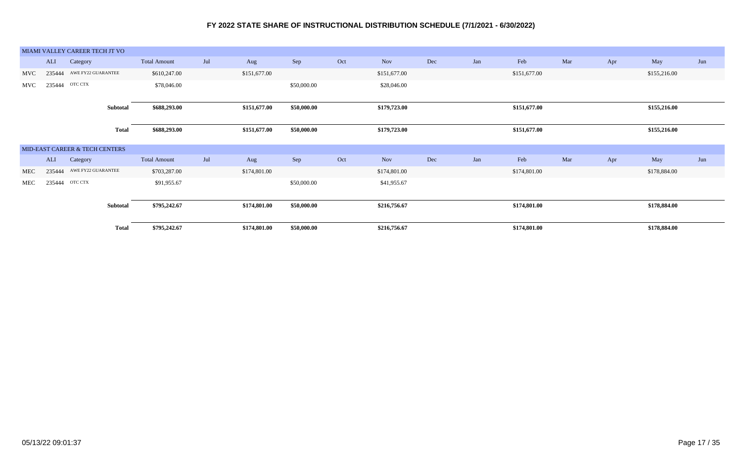|            |        | MIAMI VALLEY CAREER TECH JT VO |              |                     |     |              |             |     |              |     |     |              |     |     |              |     |
|------------|--------|--------------------------------|--------------|---------------------|-----|--------------|-------------|-----|--------------|-----|-----|--------------|-----|-----|--------------|-----|
|            | ALI    | Category                       |              | <b>Total Amount</b> | Jul | Aug          | Sep         | Oct | <b>Nov</b>   | Dec | Jan | Feb          | Mar | Apr | May          | Jun |
| <b>MVC</b> | 235444 | AWE FY22 GUARANTEE             |              | \$610,247.00        |     | \$151,677.00 |             |     | \$151,677.00 |     |     | \$151,677.00 |     |     | \$155,216.00 |     |
| <b>MVC</b> | 235444 | OTC CTX                        |              | \$78,046.00         |     |              | \$50,000.00 |     | \$28,046.00  |     |     |              |     |     |              |     |
|            |        |                                |              |                     |     |              |             |     |              |     |     |              |     |     |              |     |
|            |        |                                | Subtotal     | \$688,293.00        |     | \$151,677.00 | \$50,000.00 |     | \$179,723.00 |     |     | \$151,677.00 |     |     | \$155,216.00 |     |
|            |        |                                |              |                     |     |              |             |     |              |     |     |              |     |     |              |     |
|            |        |                                | <b>Total</b> | \$688,293.00        |     | \$151,677.00 | \$50,000.00 |     | \$179,723.00 |     |     | \$151,677.00 |     |     | \$155,216.00 |     |
|            |        |                                |              |                     |     |              |             |     |              |     |     |              |     |     |              |     |
|            |        | MID-EAST CAREER & TECH CENTERS |              |                     |     |              |             |     |              |     |     |              |     |     |              |     |
|            | ALI    | Category                       |              | <b>Total Amount</b> | Jul | Aug          | Sep         | Oct | <b>Nov</b>   | Dec | Jan | Feb          | Mar | Apr | May          | Jun |
| MEC        | 235444 | AWE FY22 GUARANTEE             |              | \$703,287.00        |     | \$174,801.00 |             |     | \$174,801.00 |     |     | \$174,801.00 |     |     | \$178,884.00 |     |
| MEC        | 235444 | OTC CTX                        |              | \$91,955.67         |     |              | \$50,000.00 |     | \$41,955.67  |     |     |              |     |     |              |     |
|            |        |                                |              |                     |     |              |             |     |              |     |     |              |     |     |              |     |
|            |        |                                | Subtotal     | \$795,242.67        |     | \$174,801.00 | \$50,000.00 |     | \$216,756.67 |     |     | \$174,801.00 |     |     | \$178,884.00 |     |
|            |        |                                |              |                     |     |              |             |     |              |     |     |              |     |     |              |     |
|            |        |                                | <b>Total</b> | \$795,242.67        |     | \$174,801.00 | \$50,000.00 |     | \$216,756.67 |     |     | \$174,801.00 |     |     | \$178,884.00 |     |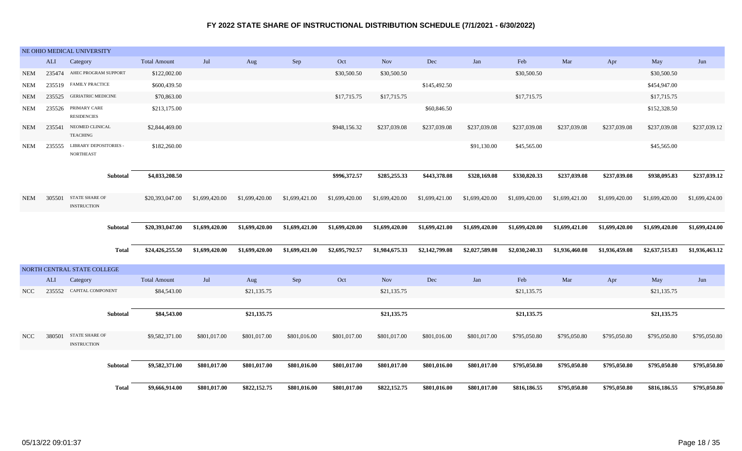|            |        | NE OHIO MEDICAL UNIVERSITY                        |                     |                |                |                |                |                |                |                |                |                |                |                |                |
|------------|--------|---------------------------------------------------|---------------------|----------------|----------------|----------------|----------------|----------------|----------------|----------------|----------------|----------------|----------------|----------------|----------------|
|            | ALI    | Category                                          | <b>Total Amount</b> | Jul            | Aug            | Sep            | Oct            | <b>Nov</b>     | $\rm Dec$      | Jan            | Feb            | Mar            | Apr            | May            | Jun            |
| <b>NEM</b> |        | 235474 AHEC PROGRAM SUPPORT                       | \$122,002.00        |                |                |                | \$30,500.50    | \$30,500.50    |                |                | \$30,500.50    |                |                | \$30,500.50    |                |
| <b>NEM</b> |        | 235519 FAMILY PRACTICE                            | \$600,439.50        |                |                |                |                |                | \$145,492.50   |                |                |                |                | \$454,947.00   |                |
| <b>NEM</b> |        | 235525 GERIATRIC MEDICINE                         | \$70,863.00         |                |                |                | \$17,715.75    | \$17,715.75    |                |                | \$17,715.75    |                |                | \$17,715.75    |                |
| <b>NEM</b> | 235526 | PRIMARY CARE<br><b>RESIDENCIES</b>                | \$213,175.00        |                |                |                |                |                | \$60,846.50    |                |                |                |                | \$152,328.50   |                |
| <b>NEM</b> | 235541 | NEOMED CLINICAL<br><b>TEACHING</b>                | \$2,844,469.00      |                |                |                | \$948,156.32   | \$237,039.08   | \$237,039.08   | \$237,039.08   | \$237,039.08   | \$237,039.08   | \$237,039.08   | \$237,039.08   | \$237,039.12   |
| NEM        | 235555 | <b>LIBRARY DEPOSITORIES -</b><br><b>NORTHEAST</b> | \$182,260.00        |                |                |                |                |                |                | \$91,130.00    | \$45,565.00    |                |                | \$45,565.00    |                |
|            |        | Subtotal                                          | \$4,033,208.50      |                |                |                | \$996,372.57   | \$285,255.33   | \$443,378.08   | \$328,169.08   | \$330,820.33   | \$237,039.08   | \$237,039.08   | \$938,095.83   | \$237,039.12   |
| NEM        | 305501 | <b>STATE SHARE OF</b><br><b>INSTRUCTION</b>       | \$20,393,047.00     | \$1,699,420.00 | \$1,699,420.00 | \$1,699,421.00 | \$1,699,420.00 | \$1,699,420.00 | \$1,699,421.00 | \$1,699,420.00 | \$1,699,420.00 | \$1,699,421.00 | \$1,699,420.00 | \$1,699,420.00 | \$1,699,424.00 |
|            |        |                                                   |                     |                |                |                |                |                |                |                |                |                |                |                |                |
|            |        | Subtotal                                          | \$20,393,047.00     | \$1,699,420.00 | \$1,699,420.00 | \$1,699,421.00 | \$1,699,420.00 | \$1,699,420.00 | \$1,699,421.00 | \$1,699,420.00 | \$1,699,420.00 | \$1,699,421.00 | \$1,699,420.00 | \$1,699,420.00 | \$1,699,424.00 |
|            |        | Total                                             | \$24,426,255.50     | \$1,699,420.00 | \$1,699,420.00 | \$1,699,421.00 | \$2,695,792.57 | \$1,984,675.33 | \$2,142,799.08 | \$2,027,589.08 | \$2,030,240.33 | \$1,936,460.08 | \$1,936,459.08 | \$2,637,515.83 | \$1,936,463.12 |
|            |        | NORTH CENTRAL STATE COLLEGE                       |                     |                |                |                |                |                |                |                |                |                |                |                |                |
|            | ALI    | Category                                          | <b>Total Amount</b> | Jul            | Aug            | Sep            | Oct            | <b>Nov</b>     | Dec            | Jan            | Feb            | Mar            | Apr            | May            | Jun            |
| NCC        |        | 235552 CAPITAL COMPONENT                          | \$84,543.00         |                | \$21,135.75    |                |                | \$21,135.75    |                |                | \$21,135.75    |                |                | \$21,135.75    |                |
|            |        | Subtotal                                          | \$84,543.00         |                | \$21,135.75    |                |                | \$21,135.75    |                |                | \$21,135.75    |                |                | \$21,135.75    |                |
| <b>NCC</b> | 380501 | <b>STATE SHARE OF</b><br><b>INSTRUCTION</b>       | \$9,582,371.00      | \$801,017.00   | \$801,017.00   | \$801,016.00   | \$801,017.00   | \$801,017.00   | \$801,016.00   | \$801,017.00   | \$795,050.80   | \$795,050.80   | \$795,050.80   | \$795,050.80   | \$795,050.80   |
|            |        | Subtotal                                          | \$9,582,371.00      | \$801,017.00   | \$801,017.00   | \$801,016.00   | \$801,017.00   | \$801,017.00   | \$801,016.00   | \$801,017.00   | \$795,050.80   | \$795,050.80   | \$795,050.80   | \$795,050.80   | \$795,050.80   |
|            |        |                                                   |                     |                |                |                |                |                |                |                |                |                |                |                |                |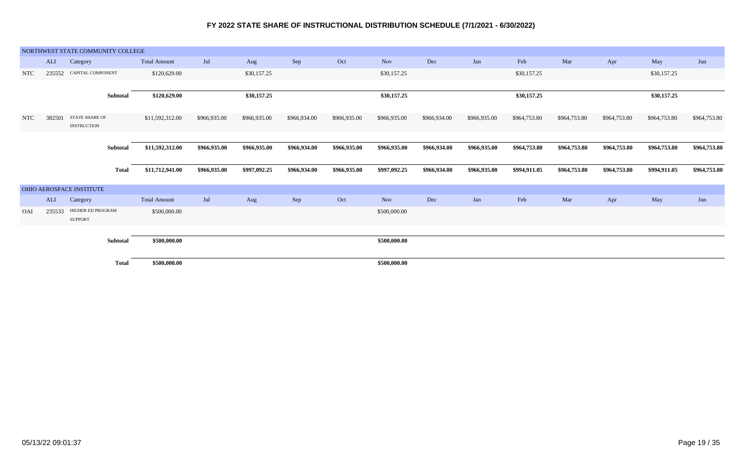|            |        | NORTHWEST STATE COMMUNITY COLLEGE           |              |                     |              |              |              |              |              |              |              |              |              |              |              |              |
|------------|--------|---------------------------------------------|--------------|---------------------|--------------|--------------|--------------|--------------|--------------|--------------|--------------|--------------|--------------|--------------|--------------|--------------|
|            | ALI    | Category                                    |              | <b>Total Amount</b> | Jul          | Aug          | Sep          | Oct          | <b>Nov</b>   | Dec          | Jan          | Feb          | Mar          | Apr          | May          | Jun          |
| <b>NTC</b> | 235552 | CAPITAL COMPONENT                           |              | \$120,629.00        |              | \$30,157.25  |              |              | \$30,157.25  |              |              | \$30,157.25  |              |              | \$30,157.25  |              |
|            |        |                                             |              |                     |              |              |              |              |              |              |              |              |              |              |              |              |
|            |        |                                             | Subtotal     | \$120,629.00        |              | \$30,157.25  |              |              | \$30,157.25  |              |              | \$30,157.25  |              |              | \$30,157.25  |              |
| <b>NTC</b> | 382501 | <b>STATE SHARE OF</b><br><b>INSTRUCTION</b> |              | \$11,592,312.00     | \$966,935.00 | \$966,935.00 | \$966,934.00 | \$966,935.00 | \$966,935.00 | \$966,934.00 | \$966,935.00 | \$964,753.80 | \$964,753.80 | \$964,753.80 | \$964,753.80 | \$964,753.80 |
|            |        |                                             | Subtotal     | \$11,592,312.00     | \$966,935.00 | \$966,935.00 | \$966,934.00 | \$966,935.00 | \$966,935.00 | \$966,934.00 | \$966,935.00 | \$964,753.80 | \$964,753.80 | \$964,753.80 | \$964,753.80 | \$964,753.80 |
|            |        |                                             | <b>Total</b> | \$11,712,941.00     | \$966,935.00 | \$997,092.25 | \$966,934.00 | \$966,935.00 | \$997,092.25 | \$966,934.00 | \$966,935.00 | \$994,911.05 | \$964,753.80 | \$964,753.80 | \$994,911.05 | \$964,753.80 |
|            |        | OHIO AEROSPACE INSTITUTE                    |              |                     |              |              |              |              |              |              |              |              |              |              |              |              |
|            | ALI    | Category                                    |              | <b>Total Amount</b> | Jul          | Aug          | Sep          | Oct          | <b>Nov</b>   | Dec          | Jan          | Feb          | Mar          | Apr          | May          | Jun          |
| OAI        | 235533 | HIGHER ED PROGRAM<br><b>SUPPORT</b>         |              | \$500,000.00        |              |              |              |              | \$500,000.00 |              |              |              |              |              |              |              |
|            |        |                                             |              |                     |              |              |              |              |              |              |              |              |              |              |              |              |
|            |        |                                             | Subtotal     | \$500,000.00        |              |              |              |              | \$500,000.00 |              |              |              |              |              |              |              |
|            |        |                                             | <b>Total</b> | \$500,000.00        |              |              |              |              | \$500,000.00 |              |              |              |              |              |              |              |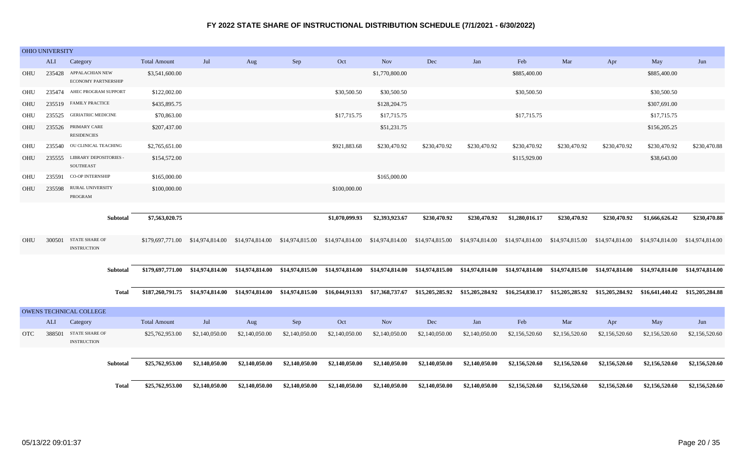|            | OHIO UNIVERSITY |                                                   |                                  |                                                                                                                                                                                  |                 |                 |                                                 |                |                |                 |                 |                 |                                                                                                                                                                                                                                                |                                 |                 |
|------------|-----------------|---------------------------------------------------|----------------------------------|----------------------------------------------------------------------------------------------------------------------------------------------------------------------------------|-----------------|-----------------|-------------------------------------------------|----------------|----------------|-----------------|-----------------|-----------------|------------------------------------------------------------------------------------------------------------------------------------------------------------------------------------------------------------------------------------------------|---------------------------------|-----------------|
|            | <b>ALI</b>      | Category                                          | <b>Total Amount</b>              | Jul                                                                                                                                                                              | Aug             | Sep             | Oct                                             | <b>Nov</b>     | Dec            | Jan             | Feb             | Mar             | Apr                                                                                                                                                                                                                                            | May                             | Jun             |
| OHU        | 235428          | APPALACHIAN NEW<br><b>ECONOMY PARTNERSHIP</b>     | \$3,541,600.00                   |                                                                                                                                                                                  |                 |                 |                                                 | \$1,770,800.00 |                |                 | \$885,400.00    |                 |                                                                                                                                                                                                                                                | \$885,400.00                    |                 |
| OHU        |                 | 235474 AHEC PROGRAM SUPPORT                       | \$122,002.00                     |                                                                                                                                                                                  |                 |                 | \$30,500.50                                     | \$30,500.50    |                |                 | \$30,500.50     |                 |                                                                                                                                                                                                                                                | \$30,500.50                     |                 |
| OHU        |                 | 235519 FAMILY PRACTICE                            | \$435,895.75                     |                                                                                                                                                                                  |                 |                 |                                                 | \$128,204.75   |                |                 |                 |                 |                                                                                                                                                                                                                                                | \$307,691.00                    |                 |
| OHU        |                 | 235525 GERIATRIC MEDICINE                         | \$70,863.00                      |                                                                                                                                                                                  |                 |                 | \$17,715.75                                     | \$17,715.75    |                |                 | \$17,715.75     |                 |                                                                                                                                                                                                                                                | \$17,715.75                     |                 |
| OHU        | 235526          | PRIMARY CARE<br><b>RESIDENCIES</b>                | \$207,437.00                     |                                                                                                                                                                                  |                 |                 |                                                 | \$51,231.75    |                |                 |                 |                 |                                                                                                                                                                                                                                                | \$156,205.25                    |                 |
| OHU        | 235540          | OU CLINICAL TEACHING                              | \$2,765,651.00                   |                                                                                                                                                                                  |                 |                 | \$921,883.68                                    | \$230,470.92   | \$230,470.92   | \$230,470.92    | \$230,470.92    | \$230,470.92    | \$230,470.92                                                                                                                                                                                                                                   | \$230,470.92                    | \$230,470.88    |
| OHU        | 235555          | <b>LIBRARY DEPOSITORIES -</b><br><b>SOUTHEAST</b> | \$154,572.00                     |                                                                                                                                                                                  |                 |                 |                                                 |                |                |                 | \$115,929.00    |                 |                                                                                                                                                                                                                                                | \$38,643.00                     |                 |
| OHU        | 235591          | <b>CO-OP INTERNSHIP</b>                           | \$165,000.00                     |                                                                                                                                                                                  |                 |                 |                                                 | \$165,000.00   |                |                 |                 |                 |                                                                                                                                                                                                                                                |                                 |                 |
| OHU        | 235598          | RURAL UNIVERSITY<br>PROGRAM                       | \$100,000.00                     |                                                                                                                                                                                  |                 |                 | \$100,000.00                                    |                |                |                 |                 |                 |                                                                                                                                                                                                                                                |                                 |                 |
|            |                 |                                                   |                                  |                                                                                                                                                                                  |                 |                 |                                                 |                |                |                 |                 |                 |                                                                                                                                                                                                                                                |                                 |                 |
|            |                 | <b>Subtotal</b>                                   | \$7,563,020.75                   |                                                                                                                                                                                  |                 |                 | \$1,070,099.93                                  | \$2,393,923.67 | \$230,470.92   | \$230,470.92    | \$1,280,016.17  | \$230,470.92    | \$230,470.92                                                                                                                                                                                                                                   | \$1,666,626.42                  | \$230,470.88    |
| OHU        | 300501          | <b>STATE SHARE OF</b><br><b>INSTRUCTION</b>       | \$179,697,771.00 \$14,974,814.00 |                                                                                                                                                                                  | \$14,974,814.00 | \$14,974,815.00 | \$14,974,814.00 \$14,974,814.00 \$14,974,815.00 |                |                | \$14,974,814.00 | \$14,974,814.00 | \$14,974,815.00 | \$14,974,814.00                                                                                                                                                                                                                                | \$14,974,814.00                 | \$14,974,814.00 |
|            |                 |                                                   |                                  |                                                                                                                                                                                  |                 |                 |                                                 |                |                |                 |                 |                 |                                                                                                                                                                                                                                                |                                 |                 |
|            |                 | Subtotal                                          |                                  |                                                                                                                                                                                  |                 |                 |                                                 |                |                |                 |                 |                 | \$179,697,771.00 \$14,974,814.00 \$14,974,814.00 \$14,974,815.00 \$14,974,814.00 \$14,974,814.00 \$14,974,815.00 \$14,974,814.00 \$14,974,814.00 \$14,974,815.00 \$14,974,814.00 \$14,974,814.00 \$14,974,814.00 \$14,974,814.00 \$14,974,814. |                                 |                 |
|            |                 | <b>Total</b>                                      |                                  | \$187,260,791.75 \$14,974,814.00 \$14,974,814.00 \$14,974,815.00 \$16,044,913.93 \$17,368,737.67 \$15,205,285.92 \$15,205,284.92 \$16,254,830.17 \$15,205,285.92 \$15,205,284.92 |                 |                 |                                                 |                |                |                 |                 |                 |                                                                                                                                                                                                                                                | \$16,641,440.42 \$15,205,284.88 |                 |
|            |                 | <b>OWENS TECHNICAL COLLEGE</b>                    |                                  |                                                                                                                                                                                  |                 |                 |                                                 |                |                |                 |                 |                 |                                                                                                                                                                                                                                                |                                 |                 |
|            | ALI             | Category                                          | <b>Total Amount</b>              | Jul                                                                                                                                                                              | Aug             | Sep             | Oct                                             | Nov            | Dec            | Jan             | Feb             | Mar             | Apr                                                                                                                                                                                                                                            | May                             | Jun             |
| <b>OTC</b> | 388501          | STATE SHARE OF<br><b>INSTRUCTION</b>              | \$25,762,953.00                  | \$2,140,050.00                                                                                                                                                                   | \$2,140,050.00  | \$2,140,050.00  | \$2,140,050.00                                  | \$2,140,050.00 | \$2,140,050.00 | \$2,140,050.00  | \$2,156,520.60  | \$2,156,520.60  | \$2,156,520.60                                                                                                                                                                                                                                 | \$2,156,520.60                  | \$2,156,520.60  |
|            |                 |                                                   |                                  |                                                                                                                                                                                  |                 |                 |                                                 |                |                |                 |                 |                 |                                                                                                                                                                                                                                                |                                 |                 |
|            |                 | Subtotal                                          | \$25,762,953.00                  | \$2,140,050.00                                                                                                                                                                   | \$2,140,050.00  | \$2,140,050.00  | \$2,140,050.00                                  | \$2,140,050.00 | \$2,140,050.00 | \$2,140,050.00  | \$2,156,520.60  | \$2,156,520.60  | \$2,156,520.60                                                                                                                                                                                                                                 | \$2,156,520.60                  | \$2,156,520.60  |
|            |                 | <b>Total</b>                                      | \$25,762,953.00                  | \$2,140,050.00                                                                                                                                                                   | \$2,140,050.00  | \$2,140,050.00  | \$2,140,050.00                                  | \$2,140,050.00 | \$2,140,050.00 | \$2,140,050.00  | \$2,156,520.60  | \$2,156,520.60  | \$2,156,520.60                                                                                                                                                                                                                                 | \$2,156,520.60                  | \$2,156,520.60  |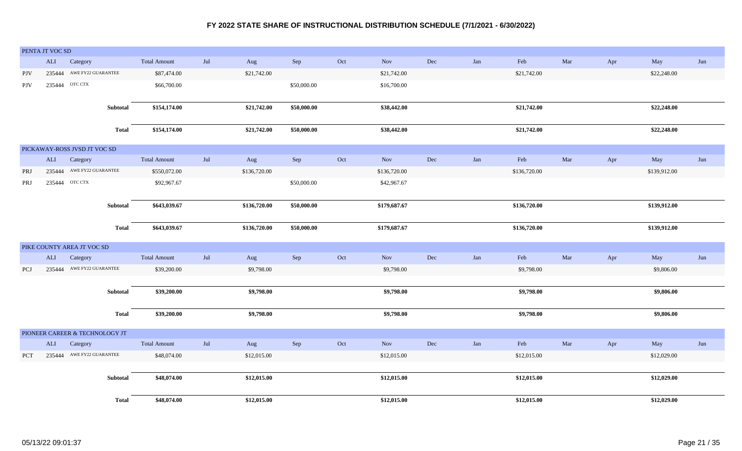|            | PENTA JT VOC SD |                                |              |                     |     |              |             |     |              |     |     |              |     |     |              |     |
|------------|-----------------|--------------------------------|--------------|---------------------|-----|--------------|-------------|-----|--------------|-----|-----|--------------|-----|-----|--------------|-----|
|            | ALI             | Category                       |              | <b>Total Amount</b> | Jul | Aug          | Sep         | Oct | <b>Nov</b>   | Dec | Jan | Feb          | Mar | Apr | May          | Jun |
| <b>PJV</b> |                 | 235444 AWE FY22 GUARANTEE      |              | \$87,474.00         |     | \$21,742.00  |             |     | \$21,742.00  |     |     | \$21,742.00  |     |     | \$22,248.00  |     |
| <b>PJV</b> |                 | 235444 OTC CTX                 |              | \$66,700.00         |     |              | \$50,000.00 |     | \$16,700.00  |     |     |              |     |     |              |     |
|            |                 |                                |              |                     |     |              |             |     |              |     |     |              |     |     |              |     |
|            |                 |                                | Subtotal     | \$154,174.00        |     | \$21,742.00  | \$50,000.00 |     | \$38,442.00  |     |     | \$21,742.00  |     |     | \$22,248.00  |     |
|            |                 |                                | <b>Total</b> | \$154,174.00        |     | \$21,742.00  | \$50,000.00 |     | \$38,442.00  |     |     | \$21,742.00  |     |     | \$22,248.00  |     |
|            |                 | PICKAWAY-ROSS JVSD JT VOC SD   |              |                     |     |              |             |     |              |     |     |              |     |     |              |     |
|            | ALI             | Category                       |              | <b>Total Amount</b> | Jul | Aug          | Sep         | Oct | <b>Nov</b>   | Dec | Jan | Feb          | Mar | Apr | May          | Jun |
| PRJ        | 235444          | AWE FY22 GUARANTEE             |              | \$550,072.00        |     | \$136,720.00 |             |     | \$136,720.00 |     |     | \$136,720.00 |     |     | \$139,912.00 |     |
| <b>PRJ</b> | 235444          | OTC CTX                        |              | \$92,967.67         |     |              | \$50,000.00 |     | \$42,967.67  |     |     |              |     |     |              |     |
|            |                 |                                |              |                     |     |              |             |     |              |     |     |              |     |     |              |     |
|            |                 |                                | Subtotal     | \$643,039.67        |     | \$136,720.00 | \$50,000.00 |     | \$179,687.67 |     |     | \$136,720.00 |     |     | \$139,912.00 |     |
|            |                 |                                |              |                     |     |              |             |     |              |     |     |              |     |     |              |     |
|            |                 |                                | <b>Total</b> | \$643,039.67        |     | \$136,720.00 | \$50,000.00 |     | \$179,687.67 |     |     | \$136,720.00 |     |     | \$139,912.00 |     |
|            |                 | PIKE COUNTY AREA JT VOC SD     |              |                     |     |              |             |     |              |     |     |              |     |     |              |     |
|            | <b>ALI</b>      | Category                       |              | <b>Total Amount</b> | Jul | Aug          | Sep         | Oct | <b>Nov</b>   | Dec | Jan | Feb          | Mar | Apr | May          | Jun |
| PCJ        | 235444          | AWE FY22 GUARANTEE             |              | \$39,200.00         |     | \$9,798.00   |             |     | \$9,798.00   |     |     | \$9,798.00   |     |     | \$9,806.00   |     |
|            |                 |                                |              |                     |     |              |             |     |              |     |     |              |     |     |              |     |
|            |                 |                                | Subtotal     | \$39,200.00         |     | \$9,798.00   |             |     | \$9,798.00   |     |     | \$9,798.00   |     |     | \$9,806.00   |     |
|            |                 |                                | <b>Total</b> | \$39,200.00         |     | \$9,798.00   |             |     | \$9,798.00   |     |     | \$9,798.00   |     |     | \$9,806.00   |     |
|            |                 |                                |              |                     |     |              |             |     |              |     |     |              |     |     |              |     |
|            |                 | PIONEER CAREER & TECHNOLOGY JT |              |                     |     |              |             |     |              |     |     |              |     |     |              |     |
|            | ALI             | Category                       |              | <b>Total Amount</b> | Jul | Aug          | Sep         | Oct | Nov          | Dec | Jan | Feb          | Mar | Apr | May          | Jun |
| <b>PCT</b> |                 | 235444 AWE FY22 GUARANTEE      |              | \$48,074.00         |     | \$12,015.00  |             |     | \$12,015.00  |     |     | \$12,015.00  |     |     | \$12,029.00  |     |
|            |                 |                                |              |                     |     |              |             |     |              |     |     |              |     |     |              |     |
|            |                 |                                | Subtotal     | \$48,074.00         |     | \$12,015.00  |             |     | \$12,015.00  |     |     | \$12,015.00  |     |     | \$12,029.00  |     |
|            |                 |                                | <b>Total</b> | \$48,074.00         |     | \$12,015.00  |             |     | \$12,015.00  |     |     | \$12,015.00  |     |     | \$12,029.00  |     |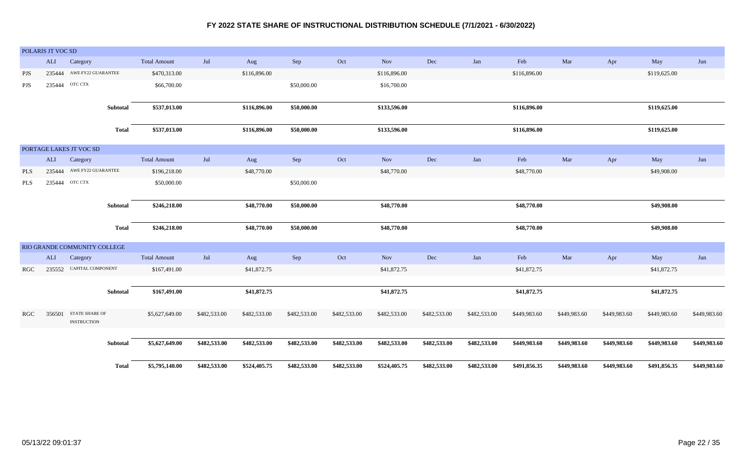|            | POLARIS JT VOC SD |                                             |              |                     |              |              |              |              |              |              |              |              |              |              |              |              |
|------------|-------------------|---------------------------------------------|--------------|---------------------|--------------|--------------|--------------|--------------|--------------|--------------|--------------|--------------|--------------|--------------|--------------|--------------|
|            | ALI               | Category                                    |              | <b>Total Amount</b> | Jul          | Aug          | Sep          | Oct          | <b>Nov</b>   | Dec          | Jan          | Feb          | Mar          | Apr          | May          | Jun          |
| <b>PJS</b> | 235444            | AWE FY22 GUARANTEE                          |              | \$470,313.00        |              | \$116,896.00 |              |              | \$116,896.00 |              |              | \$116,896.00 |              |              | \$119,625.00 |              |
| PJS        | 235444            | OTC CTX                                     |              | \$66,700.00         |              |              | \$50,000.00  |              | \$16,700.00  |              |              |              |              |              |              |              |
|            |                   |                                             | Subtotal     | \$537,013.00        |              | \$116,896.00 | \$50,000.00  |              | \$133,596.00 |              |              | \$116,896.00 |              |              | \$119,625.00 |              |
|            |                   |                                             | <b>Total</b> | \$537,013.00        |              | \$116,896.00 | \$50,000.00  |              | \$133,596.00 |              |              | \$116,896.00 |              |              | \$119,625.00 |              |
|            |                   | PORTAGE LAKES JT VOC SD                     |              |                     |              |              |              |              |              |              |              |              |              |              |              |              |
|            | ALI               | Category                                    |              | <b>Total Amount</b> | Jul          | Aug          | Sep          | Oct          | Nov          | Dec          | Jan          | Feb          | Mar          | Apr          | May          | Jun          |
| <b>PLS</b> | 235444            | AWE FY22 GUARANTEE                          |              | \$196,218.00        |              | \$48,770.00  |              |              | \$48,770.00  |              |              | \$48,770.00  |              |              | \$49,908.00  |              |
| PLS        | 235444            | OTC CTX                                     |              | \$50,000.00         |              |              | \$50,000.00  |              |              |              |              |              |              |              |              |              |
|            |                   |                                             | Subtotal     | \$246,218.00        |              | \$48,770.00  | \$50,000.00  |              | \$48,770.00  |              |              | \$48,770.00  |              |              | \$49,908.00  |              |
|            |                   |                                             | <b>Total</b> | \$246,218.00        |              | \$48,770.00  | \$50,000.00  |              | \$48,770.00  |              |              | \$48,770.00  |              |              | \$49,908.00  |              |
|            |                   | RIO GRANDE COMMUNITY COLLEGE                |              |                     |              |              |              |              |              |              |              |              |              |              |              |              |
|            | ALI               | Category                                    |              | <b>Total Amount</b> | Jul          | Aug          | Sep          | Oct          | <b>Nov</b>   | Dec          | Jan          | Feb          | Mar          | Apr          | May          | Jun          |
| <b>RGC</b> |                   | 235552 CAPITAL COMPONENT                    |              | \$167,491.00        |              | \$41,872.75  |              |              | \$41,872.75  |              |              | \$41,872.75  |              |              | \$41,872.75  |              |
|            |                   |                                             | Subtotal     | \$167,491.00        |              | \$41,872.75  |              |              | \$41,872.75  |              |              | \$41,872.75  |              |              | \$41,872.75  |              |
| RGC        | 356501            | <b>STATE SHARE OF</b><br><b>INSTRUCTION</b> |              | \$5,627,649.00      | \$482,533.00 | \$482,533.00 | \$482,533.00 | \$482,533.00 | \$482,533.00 | \$482,533.00 | \$482,533.00 | \$449,983.60 | \$449,983.60 | \$449,983.60 | \$449,983.60 | \$449,983.60 |
|            |                   |                                             | Subtotal     | \$5,627,649.00      | \$482,533.00 | \$482,533.00 | \$482,533.00 | \$482,533.00 | \$482,533.00 | \$482,533.00 | \$482,533.00 | \$449,983.60 | \$449,983.60 | \$449,983.60 | \$449,983.60 | \$449,983.60 |
|            |                   |                                             | <b>Total</b> | \$5,795,140.00      | \$482,533.00 | \$524,405.75 | \$482,533.00 | \$482,533.00 | \$524,405.75 | \$482,533.00 | \$482,533.00 | \$491,856.35 | \$449,983.60 | \$449,983.60 | \$491,856.35 | \$449,983.60 |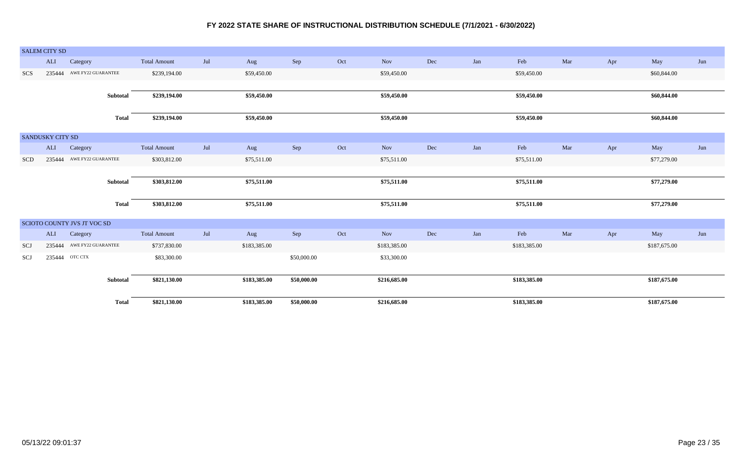|            | <b>SALEM CITY SD</b>    |                             |                     |     |              |             |     |              |     |     |              |     |     |              |     |
|------------|-------------------------|-----------------------------|---------------------|-----|--------------|-------------|-----|--------------|-----|-----|--------------|-----|-----|--------------|-----|
|            | ALI                     | Category                    | <b>Total Amount</b> | Jul | Aug          | Sep         | Oct | <b>Nov</b>   | Dec | Jan | Feb          | Mar | Apr | May          | Jun |
| SCS        |                         | 235444 AWE FY22 GUARANTEE   | \$239,194.00        |     | \$59,450.00  |             |     | \$59,450.00  |     |     | \$59,450.00  |     |     | \$60,844.00  |     |
|            |                         |                             |                     |     |              |             |     |              |     |     |              |     |     |              |     |
|            |                         | Subtotal                    | \$239,194.00        |     | \$59,450.00  |             |     | \$59,450.00  |     |     | \$59,450.00  |     |     | \$60,844.00  |     |
|            |                         |                             |                     |     |              |             |     |              |     |     |              |     |     |              |     |
|            |                         | <b>Total</b>                | \$239,194.00        |     | \$59,450.00  |             |     | \$59,450.00  |     |     | \$59,450.00  |     |     | \$60,844.00  |     |
|            | <b>SANDUSKY CITY SD</b> |                             |                     |     |              |             |     |              |     |     |              |     |     |              |     |
|            |                         |                             |                     |     |              |             |     |              |     |     |              |     |     |              |     |
|            | ALI                     | Category                    | <b>Total Amount</b> | Jul | Aug          | Sep         | Oct | Nov          | Dec | Jan | Feb          | Mar | Apr | May          | Jun |
| <b>SCD</b> |                         | 235444 AWE FY22 GUARANTEE   | \$303,812.00        |     | \$75,511.00  |             |     | \$75,511.00  |     |     | \$75,511.00  |     |     | \$77,279.00  |     |
|            |                         |                             |                     |     |              |             |     |              |     |     |              |     |     |              |     |
|            |                         | <b>Subtotal</b>             | \$303,812.00        |     | \$75,511.00  |             |     | \$75,511.00  |     |     | \$75,511.00  |     |     | \$77,279.00  |     |
|            |                         |                             |                     |     |              |             |     |              |     |     |              |     |     |              |     |
|            |                         | <b>Total</b>                | \$303,812.00        |     | \$75,511.00  |             |     | \$75,511.00  |     |     | \$75,511.00  |     |     | \$77,279.00  |     |
|            |                         |                             |                     |     |              |             |     |              |     |     |              |     |     |              |     |
|            |                         | SCIOTO COUNTY JVS JT VOC SD |                     |     |              |             |     |              |     |     |              |     |     |              |     |
|            | ALI                     | Category                    | <b>Total Amount</b> | Jul | Aug          | Sep         | Oct | Nov          | Dec | Jan | Feb          | Mar | Apr | May          | Jun |
| SCJ        |                         | 235444 AWE FY22 GUARANTEE   | \$737,830.00        |     | \$183,385.00 |             |     | \$183,385.00 |     |     | \$183,385.00 |     |     | \$187,675.00 |     |
| SCJ        |                         | 235444 ОТС СТХ              | \$83,300.00         |     |              | \$50,000.00 |     | \$33,300.00  |     |     |              |     |     |              |     |
|            |                         |                             |                     |     |              |             |     |              |     |     |              |     |     |              |     |
|            |                         | Subtotal                    | \$821,130.00        |     | \$183,385.00 | \$50,000.00 |     | \$216,685.00 |     |     | \$183,385.00 |     |     | \$187,675.00 |     |
|            |                         |                             |                     |     |              |             |     |              |     |     |              |     |     |              |     |
|            |                         | <b>Total</b>                | \$821,130.00        |     | \$183,385.00 | \$50,000.00 |     | \$216,685.00 |     |     | \$183,385.00 |     |     | \$187,675.00 |     |
|            |                         |                             |                     |     |              |             |     |              |     |     |              |     |     |              |     |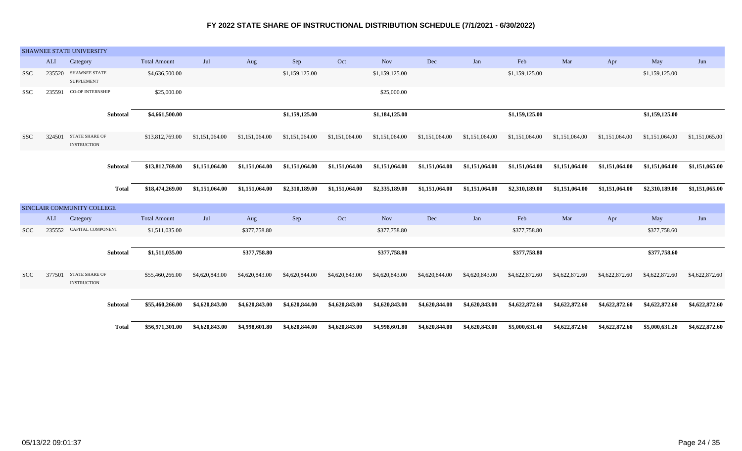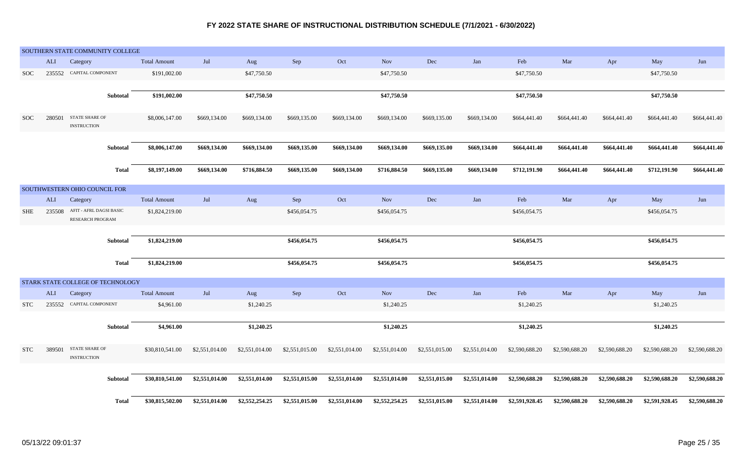|            |        | SOUTHERN STATE COMMUNITY COLLEGE            |                     |                |                |                |                |                |                |                |                |                |                |                |                |
|------------|--------|---------------------------------------------|---------------------|----------------|----------------|----------------|----------------|----------------|----------------|----------------|----------------|----------------|----------------|----------------|----------------|
|            | ALI    | Category                                    | <b>Total Amount</b> | Jul            | Aug            | ${\rm Sep}$    | Oct            | <b>Nov</b>     | Dec            | Jan            | Feb            | Mar            | Apr            | May            | Jun            |
| <b>SOC</b> |        | 235552 CAPITAL COMPONENT                    | \$191,002.00        |                | \$47,750.50    |                |                | \$47,750.50    |                |                | \$47,750.50    |                |                | \$47,750.50    |                |
|            |        |                                             |                     |                |                |                |                |                |                |                |                |                |                |                |                |
|            |        | <b>Subtotal</b>                             | \$191,002.00        |                | \$47,750.50    |                |                | \$47,750.50    |                |                | \$47,750.50    |                |                | \$47,750.50    |                |
| <b>SOC</b> | 280501 | <b>STATE SHARE OF</b><br><b>INSTRUCTION</b> | \$8,006,147.00      | \$669,134.00   | \$669,134.00   | \$669,135.00   | \$669,134.00   | \$669,134.00   | \$669,135.00   | \$669,134.00   | \$664,441.40   | \$664,441.40   | \$664,441.40   | \$664,441.40   | \$664,441.40   |
|            |        | Subtotal                                    | \$8,006,147.00      | \$669,134.00   | \$669,134.00   | \$669,135.00   | \$669,134.00   | \$669,134.00   | \$669,135.00   | \$669,134.00   | \$664,441.40   | \$664,441.40   | \$664,441.40   | \$664,441.40   | \$664,441.40   |
|            |        | <b>Total</b>                                | \$8,197,149.00      | \$669,134.00   | \$716,884.50   | \$669,135.00   | \$669,134.00   | \$716,884.50   | \$669,135.00   | \$669,134.00   | \$712,191.90   | \$664,441.40   | \$664,441.40   | \$712,191.90   | \$664,441.40   |
|            |        | SOUTHWESTERN OHIO COUNCIL FOR               |                     |                |                |                |                |                |                |                |                |                |                |                |                |
|            | ALI    | Category                                    | <b>Total Amount</b> | Jul            | Aug            | Sep            | Oct            | <b>Nov</b>     | Dec            | Jan            | Feb            | Mar            | Apr            | May            | Jun            |
| SHE        | 235508 | AFIT - AFRL DAGSI BASIC<br>RESEARCH PROGRAM | \$1,824,219.00      |                |                | \$456,054.75   |                | \$456,054.75   |                |                | \$456,054.75   |                |                | \$456,054.75   |                |
|            |        |                                             |                     |                |                |                |                |                |                |                |                |                |                |                |                |
|            |        | Subtotal                                    | \$1,824,219.00      |                |                | \$456,054.75   |                | \$456,054.75   |                |                | \$456,054.75   |                |                | \$456,054.75   |                |
|            |        | <b>Total</b>                                | \$1,824,219.00      |                |                | \$456,054.75   |                | \$456,054.75   |                |                | \$456,054.75   |                |                | \$456,054.75   |                |
|            |        | STARK STATE COLLEGE OF TECHNOLOGY           |                     |                |                |                |                |                |                |                |                |                |                |                |                |
|            | ALI    | Category                                    | <b>Total Amount</b> | Jul            | Aug            | Sep            | Oct            | <b>Nov</b>     | Dec            | Jan            | Feb            | Mar            | Apr            | May            | Jun            |
| <b>STC</b> | 235552 | CAPITAL COMPONENT                           | \$4,961.00          |                | \$1,240.25     |                |                | \$1,240.25     |                |                | \$1,240.25     |                |                | \$1,240.25     |                |
|            |        |                                             |                     |                |                |                |                |                |                |                |                |                |                |                |                |
|            |        | Subtotal                                    | \$4,961.00          |                | \$1,240.25     |                |                | \$1,240.25     |                |                | \$1,240.25     |                |                | \$1,240.25     |                |
| <b>STC</b> | 389501 | <b>STATE SHARE OF</b><br><b>INSTRUCTION</b> | \$30,810,541.00     | \$2,551,014.00 | \$2,551,014.00 | \$2,551,015.00 | \$2,551,014.00 | \$2,551,014.00 | \$2,551,015.00 | \$2,551,014.00 | \$2,590,688.20 | \$2,590,688.20 | \$2,590,688.20 | \$2,590,688.20 | \$2,590,688.20 |
|            |        | Subtotal                                    | \$30,810,541.00     | \$2,551,014.00 | \$2,551,014.00 | \$2,551,015.00 | \$2,551,014.00 | \$2,551,014.00 | \$2,551,015.00 | \$2,551,014.00 | \$2,590,688.20 | \$2,590,688.20 | \$2,590,688.20 | \$2,590,688.20 | \$2,590,688.20 |
|            |        | <b>Total</b>                                | \$30,815,502.00     | \$2,551,014.00 | \$2,552,254.25 | \$2,551,015.00 | \$2,551,014.00 | \$2,552,254.25 | \$2,551,015.00 | \$2,551,014.00 | \$2,591,928.45 | \$2,590,688.20 | \$2,590,688.20 | \$2,591,928.45 | \$2,590,688.20 |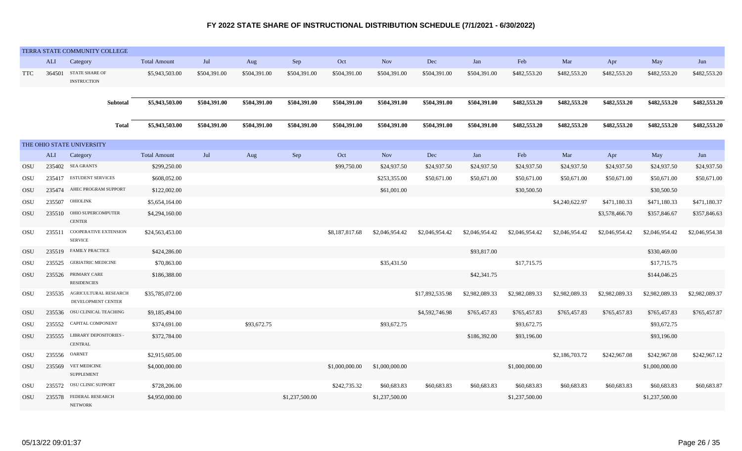|            |        | TERRA STATE COMMUNITY COLLEGE                      |                     |              |              |                |                |                |                 |                |                |                |                |                |                |
|------------|--------|----------------------------------------------------|---------------------|--------------|--------------|----------------|----------------|----------------|-----------------|----------------|----------------|----------------|----------------|----------------|----------------|
|            | ALI    | Category                                           | <b>Total Amount</b> | Jul          | Aug          | Sep            | Oct            | <b>Nov</b>     | Dec             | Jan            | Feb            | Mar            | Apr            | May            | Jun            |
| <b>TTC</b> | 364501 | <b>STATE SHARE OF</b><br><b>INSTRUCTION</b>        | \$5,943,503.00      | \$504,391.00 | \$504,391.00 | \$504,391.00   | \$504,391.00   | \$504,391.00   | \$504,391.00    | \$504,391.00   | \$482,553.20   | \$482,553.20   | \$482,553.20   | \$482,553.20   | \$482,553.20   |
|            |        | Subtotal                                           | \$5,943,503.00      | \$504,391.00 | \$504,391.00 | \$504,391.00   | \$504,391.00   | \$504,391.00   | \$504,391.00    | \$504,391.00   | \$482,553.20   | \$482,553.20   | \$482,553.20   | \$482,553.20   | \$482,553.20   |
|            |        | <b>Total</b>                                       | \$5,943,503.00      | \$504,391.00 | \$504,391.00 | \$504,391.00   | \$504,391.00   | \$504,391.00   | \$504,391.00    | \$504,391.00   | \$482,553.20   | \$482,553.20   | \$482,553.20   | \$482,553.20   | \$482,553.20   |
|            |        | THE OHIO STATE UNIVERSITY                          |                     |              |              |                |                |                |                 |                |                |                |                |                |                |
|            | ALI    | Category                                           | <b>Total Amount</b> | Jul          | Aug          | Sep            | Oct            | Nov            | Dec             | Jan            | Feb            | Mar            | Apr            | May            | Jun            |
| OSU        |        | 235402 SEA GRANTS                                  | \$299,250.00        |              |              |                | \$99,750.00    | \$24,937.50    | \$24,937.50     | \$24,937.50    | \$24,937.50    | \$24,937.50    | \$24,937.50    | \$24,937.50    | \$24,937.50    |
| OSU        | 235417 | <b>ESTUDENT SERVICES</b>                           | \$608,052.00        |              |              |                |                | \$253,355.00   | \$50,671.00     | \$50,671.00    | \$50,671.00    | \$50,671.00    | \$50,671.00    | \$50,671.00    | \$50,671.00    |
| OSU        | 235474 | AHEC PROGRAM SUPPORT                               | \$122,002.00        |              |              |                |                | \$61,001.00    |                 |                | \$30,500.50    |                |                | \$30,500.50    |                |
| OSU        |        | 235507 OHIOLINK                                    | \$5,654,164.00      |              |              |                |                |                |                 |                |                | \$4,240,622.97 | \$471,180.33   | \$471,180.33   | \$471,180.37   |
| OSU        | 235510 | OHIO SUPERCOMPUTER<br><b>CENTER</b>                | \$4,294,160.00      |              |              |                |                |                |                 |                |                |                | \$3,578,466.70 | \$357,846.67   | \$357,846.63   |
| <b>OSU</b> | 235511 | COOPERATIVE EXTENSION<br><b>SERVICE</b>            | \$24,563,453.00     |              |              |                | \$8,187,817.68 | \$2,046,954.42 | \$2,046,954.42  | \$2,046,954.42 | \$2,046,954.42 | \$2,046,954.42 | \$2,046,954.42 | \$2,046,954.42 | \$2,046,954.38 |
| OSU        | 235519 | <b>FAMILY PRACTICE</b>                             | \$424,286.00        |              |              |                |                |                |                 | \$93,817.00    |                |                |                | \$330,469.00   |                |
| OSU        |        | 235525 GERIATRIC MEDICINE                          | \$70,863.00         |              |              |                |                | \$35,431.50    |                 |                | \$17,715.75    |                |                | \$17,715.75    |                |
| OSU        |        | 235526 PRIMARY CARE<br><b>RESIDENCIES</b>          | \$186,388.00        |              |              |                |                |                |                 | \$42,341.75    |                |                |                | \$144,046.25   |                |
| OSU        |        | 235535 AGRICULTURAL RESEARCH<br>DEVELOPMENT CENTER | \$35,785,072.00     |              |              |                |                |                | \$17,892,535.98 | \$2,982,089.33 | \$2,982,089.33 | \$2,982,089.33 | \$2,982,089.33 | \$2,982,089.33 | \$2,982,089.37 |
| OSU        | 235536 | OSU CLINICAL TEACHING                              | \$9,185,494.00      |              |              |                |                |                | \$4,592,746.98  | \$765,457.83   | \$765,457.83   | \$765,457.83   | \$765,457.83   | \$765,457.83   | \$765,457.87   |
| OSU        |        | 235552 CAPITAL COMPONENT                           | \$374,691.00        |              | \$93,672.75  |                |                | \$93,672.75    |                 |                | \$93,672.75    |                |                | \$93,672.75    |                |
| OSU        |        | 235555 LIBRARY DEPOSITORIES<br><b>CENTRAL</b>      | \$372,784.00        |              |              |                |                |                |                 | \$186,392.00   | \$93,196.00    |                |                | \$93,196.00    |                |
| OSU        |        | 235556 OARNET                                      | \$2,915,605.00      |              |              |                |                |                |                 |                |                | \$2,186,703.72 | \$242,967.08   | \$242,967.08   | \$242,967.12   |
| OSU        | 235569 | <b>VET MEDICINE</b><br><b>SUPPLEMENT</b>           | \$4,000,000.00      |              |              |                | \$1,000,000.00 | \$1,000,000.00 |                 |                | \$1,000,000.00 |                |                | \$1,000,000.00 |                |
| <b>OSU</b> |        | 235572 OSU CLINIC SUPPORT                          | \$728,206.00        |              |              |                | \$242,735.32   | \$60,683.83    | \$60,683.83     | \$60,683.83    | \$60,683.83    | \$60,683.83    | \$60,683.83    | \$60,683.83    | \$60,683.87    |
| OSU        | 235578 | FEDERAL RESEARCH<br><b>NETWORK</b>                 | \$4,950,000.00      |              |              | \$1,237,500.00 |                | \$1,237,500.00 |                 |                | \$1,237,500.00 |                |                | \$1,237,500.00 |                |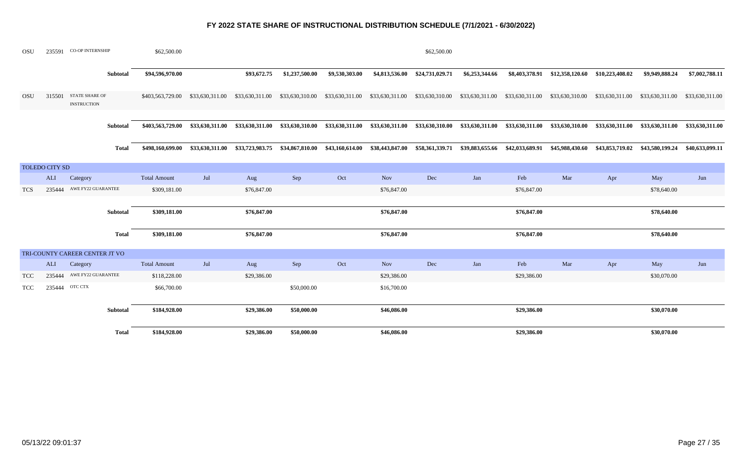| <b>OSU</b> |                       | 235591 CO-OP INTERNSHIP                     |              | \$62,500.00         |                                                                  |                 |                 |                 |                 | \$62,500.00     |                 |                 |                 |                 |                                 |                 |
|------------|-----------------------|---------------------------------------------|--------------|---------------------|------------------------------------------------------------------|-----------------|-----------------|-----------------|-----------------|-----------------|-----------------|-----------------|-----------------|-----------------|---------------------------------|-----------------|
|            |                       |                                             | Subtotal     | \$94,596,970.00     |                                                                  | \$93,672.75     | \$1,237,500.00  | \$9,530,303.00  | \$4,813,536.00  | \$24,731,029.71 | \$6,253,344.66  | \$8,403,378.91  | \$12,358,120.60 | \$10,223,408.02 | \$9,949,888.24                  | \$7,002,788.11  |
| <b>OSU</b> | 315501                | <b>STATE SHARE OF</b><br><b>INSTRUCTION</b> |              | \$403,563,729.00    | \$33,630,311.00                                                  | \$33,630,311.00 | \$33,630,310.00 | \$33,630,311.00 | \$33,630,311.00 | \$33,630,310.00 | \$33,630,311.00 | \$33,630,311.00 | \$33,630,310.00 | \$33,630,311.00 | \$33,630,311.00                 | \$33,630,311.00 |
|            |                       |                                             |              |                     |                                                                  |                 |                 |                 |                 |                 |                 |                 |                 |                 |                                 |                 |
|            |                       |                                             | Subtotal     | \$403,563,729.00    | \$33,630,311.00                                                  | \$33,630,311.00 | \$33,630,310.00 | \$33,630,311.00 | \$33,630,311.00 | \$33,630,310.00 | \$33,630,311.00 | \$33,630,311.00 | \$33,630,310.00 |                 | \$33,630,311.00 \$33,630,311.00 | \$33,630,311.00 |
|            |                       |                                             | Total        |                     | \$498,160,699.00 \$33,630,311.00 \$33,723,983.75 \$34,867,810.00 |                 |                 | \$43,160,614.00 | \$38,443,847.00 | \$58,361,339.71 | \$39,883,655.66 | \$42,033,689.91 | \$45,988,430.60 | \$43,853,719.02 | \$43,580,199.24                 | \$40,633,099.11 |
|            | <b>TOLEDO CITY SD</b> |                                             |              |                     |                                                                  |                 |                 |                 |                 |                 |                 |                 |                 |                 |                                 |                 |
|            | <b>ALI</b>            | Category                                    |              | <b>Total Amount</b> | Jul                                                              | Aug             | Sep             | Oct             | <b>Nov</b>      | Dec             | Jan             | Feb             | Mar             | Apr             | May                             | Jun             |
| <b>TCS</b> | 235444                | AWE FY22 GUARANTEE                          |              | \$309,181.00        |                                                                  | \$76,847.00     |                 |                 | \$76,847.00     |                 |                 | \$76,847.00     |                 |                 | \$78,640.00                     |                 |
|            |                       |                                             | Subtotal     | \$309,181.00        |                                                                  | \$76,847.00     |                 |                 | \$76,847.00     |                 |                 | \$76,847.00     |                 |                 | \$78,640.00                     |                 |
|            |                       |                                             | <b>Total</b> | \$309,181.00        |                                                                  | \$76,847.00     |                 |                 | \$76,847.00     |                 |                 | \$76,847.00     |                 |                 | \$78,640.00                     |                 |
|            |                       | TRI-COUNTY CAREER CENTER JT VO              |              |                     |                                                                  |                 |                 |                 |                 |                 |                 |                 |                 |                 |                                 |                 |
|            | <b>ALI</b>            | Category                                    |              | <b>Total Amount</b> | Jul                                                              | Aug             | Sep             | Oct             | <b>Nov</b>      | Dec             | Jan             | Feb             | Mar             | Apr             | May                             | Jun             |
| <b>TCC</b> | 235444                | AWE FY22 GUARANTEE                          |              | \$118,228.00        |                                                                  | \$29,386.00     |                 |                 | \$29,386.00     |                 |                 | \$29,386.00     |                 |                 | \$30,070.00                     |                 |
| TCC        |                       | 235444 OTC CTX                              |              | \$66,700.00         |                                                                  |                 | \$50,000.00     |                 | \$16,700.00     |                 |                 |                 |                 |                 |                                 |                 |
|            |                       |                                             | Subtotal     | \$184,928.00        |                                                                  | \$29,386.00     | \$50,000.00     |                 | \$46,086.00     |                 |                 | \$29,386.00     |                 |                 | \$30,070.00                     |                 |
|            |                       |                                             | Total        | \$184,928.00        |                                                                  | \$29,386.00     | \$50,000.00     |                 | \$46,086.00     |                 |                 | \$29,386.00     |                 |                 | \$30,070.00                     |                 |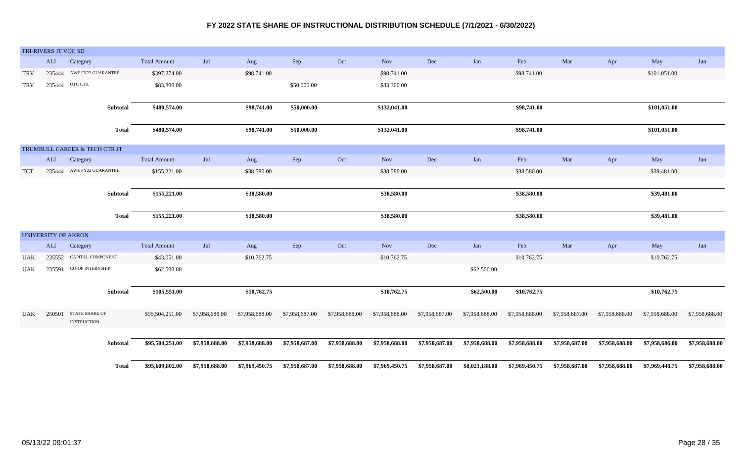|            | TRI-RIVERS JT VOC SD       |                                           |                 |                     |                |                |                |                |                |                |                |                |                |                |                |                |
|------------|----------------------------|-------------------------------------------|-----------------|---------------------|----------------|----------------|----------------|----------------|----------------|----------------|----------------|----------------|----------------|----------------|----------------|----------------|
|            | ALI                        | Category                                  |                 | <b>Total Amount</b> | Jul            | Aug            | Sep            | Oct            | <b>Nov</b>     | Dec            | Jan            | Feb            | Mar            | Apr            | May            | Jun            |
| <b>TRV</b> | 235444                     | AWE FY22 GUARANTEE                        |                 | \$397,274.00        |                | \$98,741.00    |                |                | \$98,741.00    |                |                | \$98,741.00    |                |                | \$101,051.00   |                |
| <b>TRV</b> | 235444                     | OTC CTX                                   |                 | \$83,300.00         |                |                | \$50,000.00    |                | \$33,300.00    |                |                |                |                |                |                |                |
|            |                            |                                           |                 |                     |                |                |                |                |                |                |                |                |                |                |                |                |
|            |                            |                                           | <b>Subtotal</b> | \$480,574.00        |                | \$98,741.00    | \$50,000.00    |                | \$132,041.00   |                |                | \$98,741.00    |                |                | \$101,051.00   |                |
|            |                            |                                           |                 |                     |                |                |                |                |                |                |                |                |                |                |                |                |
|            |                            |                                           | <b>Total</b>    | \$480,574.00        |                | \$98,741.00    | \$50,000.00    |                | \$132,041.00   |                |                | \$98,741.00    |                |                | \$101,051.00   |                |
|            |                            |                                           |                 |                     |                |                |                |                |                |                |                |                |                |                |                |                |
|            | ALI                        | TRUMBULL CAREER & TECH CTR JT<br>Category |                 | <b>Total Amount</b> | Jul            | Aug            | Sep            | Oct            | <b>Nov</b>     | Dec            | Jan            | Feb            | Mar            | Apr            | May            | Jun            |
|            |                            | AWE FY22 GUARANTEE                        |                 |                     |                |                |                |                |                |                |                |                |                |                |                |                |
| <b>TCT</b> | 235444                     |                                           |                 | \$155,221.00        |                | \$38,580.00    |                |                | \$38,580.00    |                |                | \$38,580.00    |                |                | \$39,481.00    |                |
|            |                            |                                           | Subtotal        | \$155,221.00        |                | \$38,580.00    |                |                | \$38,580.00    |                |                | \$38,580.00    |                |                | \$39,481.00    |                |
|            |                            |                                           |                 |                     |                |                |                |                |                |                |                |                |                |                |                |                |
|            |                            |                                           | <b>Total</b>    | \$155,221.00        |                | \$38,580.00    |                |                | \$38,580.00    |                |                | \$38,580.00    |                |                | \$39,481.00    |                |
|            |                            |                                           |                 |                     |                |                |                |                |                |                |                |                |                |                |                |                |
|            | <b>UNIVERSITY OF AKRON</b> |                                           |                 |                     |                |                |                |                |                |                |                |                |                |                |                |                |
|            | ALI                        | Category                                  |                 | <b>Total Amount</b> | Jul            | Aug            | Sep            | Oct            | Nov            | $\rm Dec$      | Jan            | Feb            | Mar            | Apr            | May            | Jun            |
| <b>UAK</b> |                            | 235552 CAPITAL COMPONENT                  |                 | \$43,051.00         |                | \$10,762.75    |                |                | \$10,762.75    |                |                | \$10,762.75    |                |                | \$10,762.75    |                |
| UAK        |                            | 235591 CO-OP INTERNSHIP                   |                 | \$62,500.00         |                |                |                |                |                |                | \$62,500.00    |                |                |                |                |                |
|            |                            |                                           |                 |                     |                |                |                |                |                |                |                |                |                |                |                |                |
|            |                            |                                           | Subtotal        | \$105,551.00        |                | \$10,762.75    |                |                | \$10,762.75    |                | \$62,500.00    | \$10,762.75    |                |                | \$10,762.75    |                |
|            |                            |                                           |                 |                     |                |                |                |                |                |                |                |                |                |                |                |                |
| UAK        | 250501                     | <b>STATE SHARE OF</b>                     |                 | \$95,504,251.00     | \$7,958,688.00 | \$7,958,688.00 | \$7,958,687.00 | \$7,958,688.00 | \$7,958,688.00 | \$7,958,687.00 | \$7,958,688.00 | \$7,958,688.00 | \$7,958,687.00 | \$7,958,688.00 | \$7,958,686.00 | \$7,958,688.00 |
|            |                            | <b>INSTRUCTION</b>                        |                 |                     |                |                |                |                |                |                |                |                |                |                |                |                |
|            |                            |                                           |                 |                     |                |                |                |                |                |                |                |                |                |                |                |                |
|            |                            |                                           | Subtotal        | \$95,504,251.00     | \$7,958,688.00 | \$7,958,688.00 | \$7,958,687.00 | \$7,958,688.00 | \$7,958,688.00 | \$7,958,687.00 | \$7,958,688.00 | \$7,958,688.00 | \$7,958,687.00 | \$7,958,688.00 | \$7,958,686.00 | \$7,958,688.00 |
|            |                            |                                           |                 |                     |                |                |                |                |                |                |                |                |                |                |                |                |
|            |                            |                                           | Total           | \$95,609,802.00     | \$7,958,688.00 | \$7,969,450.75 | \$7,958,687.00 | \$7,958,688.00 | \$7,969,450.75 | \$7,958,687.00 | \$8,021,188.00 | \$7,969,450.75 | \$7,958,687.00 | \$7,958,688.00 | \$7,969,448.75 | \$7,958,688.00 |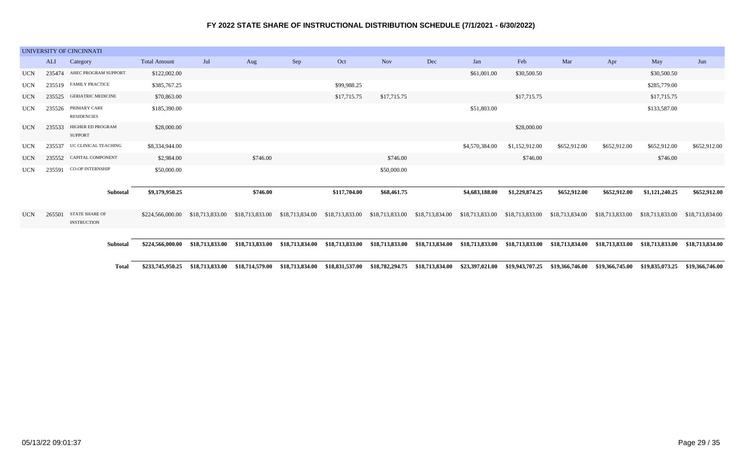|            |            | UNIVERSITY OF CINCINNATI            |                     |                 |                 |                                 |                 |                                 |                 |                 |                 |                 |                 |                                                 |                 |
|------------|------------|-------------------------------------|---------------------|-----------------|-----------------|---------------------------------|-----------------|---------------------------------|-----------------|-----------------|-----------------|-----------------|-----------------|-------------------------------------------------|-----------------|
|            | <b>ALI</b> | Category                            | <b>Total Amount</b> | Jul             | Aug             | Sep                             | Oct             | <b>Nov</b>                      | Dec             | Jan             | Feb             | Mar             | Apr             | May                                             | Jun             |
| <b>UCN</b> | 235474     | AHEC PROGRAM SUPPORT                | \$122,002.00        |                 |                 |                                 |                 |                                 |                 | \$61,001.00     | \$30,500.50     |                 |                 | \$30,500.50                                     |                 |
| <b>UCN</b> | 235519     | <b>FAMILY PRACTICE</b>              | \$385,767.25        |                 |                 |                                 | \$99,988.25     |                                 |                 |                 |                 |                 |                 | \$285,779.00                                    |                 |
| <b>UCN</b> |            | 235525 GERIATRIC MEDICINE           | \$70,863.00         |                 |                 |                                 | \$17,715.75     | \$17,715.75                     |                 |                 | \$17,715.75     |                 |                 | \$17,715.75                                     |                 |
| <b>UCN</b> | 235526     | PRIMARY CARE<br><b>RESIDENCIES</b>  | \$185,390.00        |                 |                 |                                 |                 |                                 |                 | \$51,803.00     |                 |                 |                 | \$133,587.00                                    |                 |
| <b>UCN</b> | 235533     | HIGHER ED PROGRAM<br><b>SUPPORT</b> | \$28,000.00         |                 |                 |                                 |                 |                                 |                 |                 | \$28,000.00     |                 |                 |                                                 |                 |
| <b>UCN</b> | 235537     | UC CLINICAL TEACHING                | \$8,334,944.00      |                 |                 |                                 |                 |                                 |                 | \$4,570,384.00  | \$1,152,912.00  | \$652,912.00    | \$652,912.00    | \$652,912.00                                    | \$652,912.00    |
| <b>UCN</b> |            | 235552 CAPITAL COMPONENT            | \$2,984.00          |                 | \$746.00        |                                 |                 | \$746.00                        |                 |                 | \$746.00        |                 |                 | \$746.00                                        |                 |
| <b>UCN</b> |            | 235591 CO-OP INTERNSHIP             | \$50,000.00         |                 |                 |                                 |                 | \$50,000.00                     |                 |                 |                 |                 |                 |                                                 |                 |
|            |            | Subtotal                            | \$9,179,950.25      |                 | \$746.00        |                                 | \$117,704.00    | \$68,461.75                     |                 | \$4,683,188.00  | \$1,229,874.25  | \$652,912.00    | \$652,912.00    | \$1,121,240.25                                  | \$652,912.00    |
| <b>UCN</b> | 265501     | STATE SHARE OF<br>INSTRUCTION       | \$224,566,000.00    | \$18,713,833.00 | \$18,713,833.00 | \$18,713,834.00                 |                 | \$18,713,833.00 \$18,713,833.00 | \$18,713,834.00 | \$18,713,833.00 | \$18,713,833.00 | \$18,713,834.00 | \$18,713,833.00 | \$18,713,833.00                                 | \$18,713,834.00 |
|            |            |                                     |                     |                 |                 |                                 |                 |                                 |                 |                 |                 |                 |                 |                                                 |                 |
|            |            | Subtotal                            | \$224,566,000.00    | \$18,713,833.00 |                 | \$18,713,833.00 \$18,713,834.00 | \$18,713,833.00 | \$18,713,833.00                 | \$18,713,834.00 | \$18,713,833.00 | \$18,713,833.00 | \$18,713,834.00 |                 | \$18,713,833.00 \$18,713,833.00 \$18,713,834.00 |                 |

Total \$233,745,950.25 \$18,713,833.00 \$18,714,579.00 \$18,713,834.00 \$18,831,537.00 \$18,782,294.75 \$18,713,834.00 \$23,397,021.00 \$19,943,707.25 \$19,366,746.00 \$19,836,745.00 \$19,835,073.25 \$19,366,746.00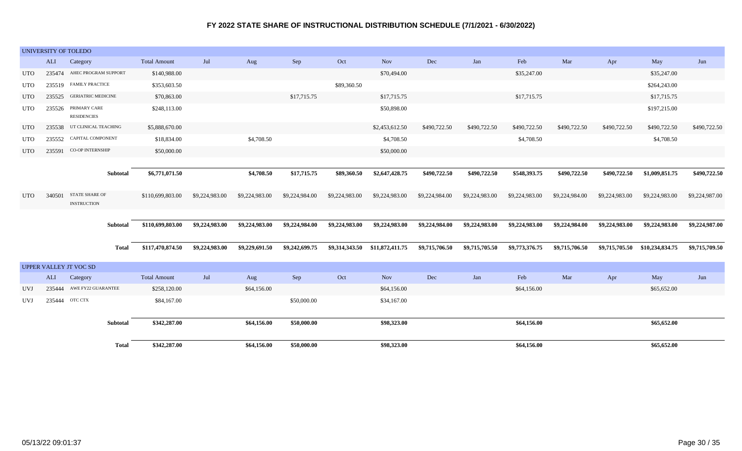|            | UNIVERSITY OF TOLEDO |                                             |                     |                |                |                |                |                                |                |                |                |                |                |                 |                |
|------------|----------------------|---------------------------------------------|---------------------|----------------|----------------|----------------|----------------|--------------------------------|----------------|----------------|----------------|----------------|----------------|-----------------|----------------|
|            | <b>ALI</b>           | Category                                    | <b>Total Amount</b> | Jul            | Aug            | Sep            | Oct            | <b>Nov</b>                     | Dec            | Jan            | Feb            | Mar            | Apr            | May             | Jun            |
| <b>UTO</b> | 235474               | AHEC PROGRAM SUPPORT                        | \$140,988.00        |                |                |                |                | \$70,494.00                    |                |                | \$35,247.00    |                |                | \$35,247.00     |                |
| <b>UTO</b> |                      | 235519 FAMILY PRACTICE                      | \$353,603.50        |                |                |                | \$89,360.50    |                                |                |                |                |                |                | \$264,243.00    |                |
| <b>UTO</b> |                      | 235525 GERIATRIC MEDICINE                   | \$70,863.00         |                |                | \$17,715.75    |                | \$17,715.75                    |                |                | \$17,715.75    |                |                | \$17,715.75     |                |
| <b>UTO</b> | 235526               | PRIMARY CARE<br><b>RESIDENCIES</b>          | \$248,113.00        |                |                |                |                | \$50,898.00                    |                |                |                |                |                | \$197,215.00    |                |
| <b>UTO</b> |                      | 235538 UT CLINICAL TEACHING                 | \$5,888,670.00      |                |                |                |                | \$2,453,612.50                 | \$490,722.50   | \$490,722.50   | \$490,722.50   | \$490,722.50   | \$490,722.50   | \$490,722.50    | \$490,722.50   |
| <b>UTO</b> | 235552               | CAPITAL COMPONENT                           | \$18,834.00         |                | \$4,708.50     |                |                | \$4,708.50                     |                |                | \$4,708.50     |                |                | \$4,708.50      |                |
| UTO        | 235591               | CO-OP INTERNSHIP                            | \$50,000.00         |                |                |                |                | \$50,000.00                    |                |                |                |                |                |                 |                |
|            |                      |                                             |                     |                |                |                |                |                                |                |                |                |                |                |                 |                |
|            |                      | Subtotal                                    | \$6,771,071.50      |                | \$4,708.50     | \$17,715.75    | \$89,360.50    | \$2,647,428.75                 | \$490,722.50   | \$490,722.50   | \$548,393.75   | \$490,722.50   | \$490,722.50   | \$1,009,851.75  | \$490,722.50   |
| <b>UTO</b> | 340501               | <b>STATE SHARE OF</b><br><b>INSTRUCTION</b> | \$110,699,803.00    | \$9,224,983.00 | \$9,224,983.00 | \$9,224,984.00 | \$9,224,983.00 | \$9,224,983.00                 | \$9,224,984.00 | \$9,224,983.00 | \$9,224,983.00 | \$9,224,984.00 | \$9,224,983.00 | \$9,224,983.00  | \$9,224,987.00 |
|            |                      | Subtotal                                    | \$110,699,803.00    | \$9,224,983.00 | \$9,224,983.00 | \$9,224,984.00 | \$9,224,983.00 | \$9,224,983.00                 | \$9,224,984.00 | \$9,224,983.00 | \$9,224,983.00 | \$9,224,984.00 | \$9,224,983.00 | \$9,224,983.00  | \$9,224,987.00 |
|            |                      | Total                                       | \$117,470,874.50    | \$9,224,983.00 | \$9,229,691.50 | \$9,242,699.75 |                | \$9,314,343.50 \$11,872,411.75 | \$9,715,706.50 | \$9,715,705.50 | \$9,773,376.75 | \$9,715,706.50 | \$9,715,705.50 | \$10,234,834.75 | \$9,715,709.50 |
|            |                      | <b>UPPER VALLEY JT VOC SD</b>               |                     |                |                |                |                |                                |                |                |                |                |                |                 |                |
|            | ALI                  | Category                                    | <b>Total Amount</b> | Jul            | Aug            | Sep            | Oct            | <b>Nov</b>                     | Dec            | Jan            | Feb            | Mar            | Apr            | May             | Jun            |
| <b>UVJ</b> | 235444               | AWE FY22 GUARANTEE                          | \$258,120.00        |                | \$64,156.00    |                |                | \$64,156.00                    |                |                | \$64,156.00    |                |                | \$65,652.00     |                |
| <b>UVJ</b> |                      | 235444 OTC CTX                              | \$84,167.00         |                |                | \$50,000.00    |                | \$34,167.00                    |                |                |                |                |                |                 |                |
|            |                      | Subtotal                                    | \$342,287.00        |                | \$64,156.00    | \$50,000.00    |                | \$98,323.00                    |                |                | \$64,156.00    |                |                | \$65,652.00     |                |
|            |                      | Total                                       | \$342,287.00        |                | \$64,156.00    | \$50,000.00    |                | \$98,323.00                    |                |                | \$64,156.00    |                |                | \$65,652.00     |                |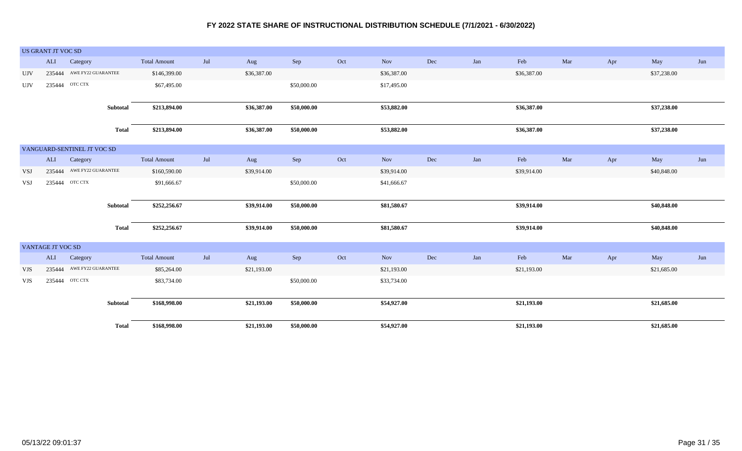|            | US GRANT JT VOC SD       |                             |              |                     |     |             |             |     |             |     |     |             |     |     |             |     |
|------------|--------------------------|-----------------------------|--------------|---------------------|-----|-------------|-------------|-----|-------------|-----|-----|-------------|-----|-----|-------------|-----|
|            | ALI                      | Category                    |              | <b>Total Amount</b> | Jul | Aug         | Sep         | Oct | Nov         | Dec | Jan | Feb         | Mar | Apr | May         | Jun |
| <b>UJV</b> | 235444                   | AWE FY22 GUARANTEE          |              | \$146,399.00        |     | \$36,387.00 |             |     | \$36,387.00 |     |     | \$36,387.00 |     |     | \$37,238.00 |     |
| <b>UJV</b> | 235444                   | OTC CTX                     |              | \$67,495.00         |     |             | \$50,000.00 |     | \$17,495.00 |     |     |             |     |     |             |     |
|            |                          |                             |              |                     |     |             |             |     |             |     |     |             |     |     |             |     |
|            |                          |                             | Subtotal     | \$213,894.00        |     | \$36,387.00 | \$50,000.00 |     | \$53,882.00 |     |     | \$36,387.00 |     |     | \$37,238.00 |     |
|            |                          |                             | <b>Total</b> | \$213,894.00        |     | \$36,387.00 | \$50,000.00 |     | \$53,882.00 |     |     | \$36,387.00 |     |     | \$37,238.00 |     |
|            |                          | VANGUARD-SENTINEL JT VOC SD |              |                     |     |             |             |     |             |     |     |             |     |     |             |     |
|            |                          | ALI Category                |              | <b>Total Amount</b> | Jul | Aug         | Sep         | Oct | Nov         | Dec | Jan | Feb         | Mar | Apr | May         | Jun |
| <b>VSJ</b> |                          | 235444 AWE FY22 GUARANTEE   |              | \$160,590.00        |     | \$39,914.00 |             |     | \$39,914.00 |     |     | \$39,914.00 |     |     | \$40,848.00 |     |
| <b>VSJ</b> |                          | 235444 ОТС СТХ              |              | \$91,666.67         |     |             | \$50,000.00 |     | \$41,666.67 |     |     |             |     |     |             |     |
|            |                          |                             |              |                     |     |             |             |     |             |     |     |             |     |     |             |     |
|            |                          |                             | Subtotal     | \$252,256.67        |     | \$39,914.00 | \$50,000.00 |     | \$81,580.67 |     |     | \$39,914.00 |     |     | \$40,848.00 |     |
|            |                          |                             | <b>Total</b> | \$252,256.67        |     | \$39,914.00 | \$50,000.00 |     | \$81,580.67 |     |     | \$39,914.00 |     |     | \$40,848.00 |     |
|            |                          |                             |              |                     |     |             |             |     |             |     |     |             |     |     |             |     |
|            | VANTAGE JT VOC SD<br>ALI | Category                    |              | <b>Total Amount</b> | Jul | Aug         | Sep         | Oct | Nov         | Dec | Jan | Feb         | Mar | Apr | May         | Jun |
| <b>VJS</b> |                          | 235444 AWE FY22 GUARANTEE   |              | \$85,264.00         |     | \$21,193.00 |             |     | \$21,193.00 |     |     | \$21,193.00 |     |     | \$21,685.00 |     |
|            |                          |                             |              |                     |     |             |             |     |             |     |     |             |     |     |             |     |
| VJS        |                          | 235444 OTC CTX              |              | \$83,734.00         |     |             | \$50,000.00 |     | \$33,734.00 |     |     |             |     |     |             |     |
|            |                          |                             | Subtotal     | \$168,998.00        |     | \$21,193.00 | \$50,000.00 |     | \$54,927.00 |     |     | \$21,193.00 |     |     | \$21,685.00 |     |
|            |                          |                             | <b>Total</b> | \$168,998.00        |     | \$21,193.00 | \$50,000.00 |     | \$54,927.00 |     |     | \$21,193.00 |     |     | \$21,685.00 |     |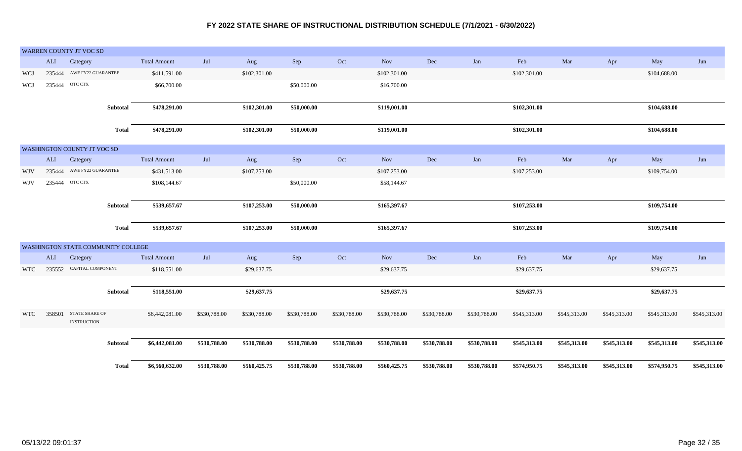|            |        | WARREN COUNTY JT VOC SD              |              |                     |              |              |              |              |              |              |              |              |              |              |              |              |
|------------|--------|--------------------------------------|--------------|---------------------|--------------|--------------|--------------|--------------|--------------|--------------|--------------|--------------|--------------|--------------|--------------|--------------|
|            | ALI    | Category                             |              | <b>Total Amount</b> | Jul          | Aug          | Sep          | Oct          | Nov          | Dec          | Jan          | Feb          | Mar          | Apr          | May          | Jun          |
| WCJ        | 235444 | AWE FY22 GUARANTEE                   |              | \$411,591.00        |              | \$102,301.00 |              |              | \$102,301.00 |              |              | \$102,301.00 |              |              | \$104,688.00 |              |
| WCJ        | 235444 | OTC CTX                              |              | \$66,700.00         |              |              | \$50,000.00  |              | \$16,700.00  |              |              |              |              |              |              |              |
|            |        |                                      | Subtotal     | \$478,291.00        |              | \$102,301.00 | \$50,000.00  |              | \$119,001.00 |              |              | \$102,301.00 |              |              | \$104,688.00 |              |
|            |        |                                      | <b>Total</b> | \$478,291.00        |              | \$102,301.00 | \$50,000.00  |              | \$119,001.00 |              |              | \$102,301.00 |              |              | \$104,688.00 |              |
|            |        | WASHINGTON COUNTY JT VOC SD          |              |                     |              |              |              |              |              |              |              |              |              |              |              |              |
|            | ALI    | Category                             |              | <b>Total Amount</b> | Jul          | Aug          | Sep          | Oct          | <b>Nov</b>   | Dec          | Jan          | Feb          | Mar          | Apr          | May          | Jun          |
| WJV        | 235444 | AWE FY22 GUARANTEE                   |              | \$431,513.00        |              | \$107,253.00 |              |              | \$107,253.00 |              |              | \$107,253.00 |              |              | \$109,754.00 |              |
| <b>WJV</b> | 235444 | OTC CTX                              |              | \$108,144.67        |              |              | \$50,000.00  |              | \$58,144.67  |              |              |              |              |              |              |              |
|            |        |                                      | Subtotal     | \$539,657.67        |              | \$107,253.00 | \$50,000.00  |              | \$165,397.67 |              |              | \$107,253.00 |              |              | \$109,754.00 |              |
|            |        |                                      | <b>Total</b> | \$539,657.67        |              | \$107,253.00 | \$50,000.00  |              | \$165,397.67 |              |              | \$107,253.00 |              |              | \$109,754.00 |              |
|            |        | WASHINGTON STATE COMMUNITY COLLEGE   |              |                     |              |              |              |              |              |              |              |              |              |              |              |              |
|            | ALI    | Category                             |              | <b>Total Amount</b> | Jul          | Aug          | Sep          | Oct          | <b>Nov</b>   | Dec          | Jan          | Feb          | Mar          | Apr          | May          | Jun          |
| <b>WTC</b> |        | 235552 CAPITAL COMPONENT             |              | \$118,551.00        |              | \$29,637.75  |              |              | \$29,637.75  |              |              | \$29,637.75  |              |              | \$29,637.75  |              |
|            |        |                                      | Subtotal     | \$118,551.00        |              | \$29,637.75  |              |              | \$29,637.75  |              |              | \$29,637.75  |              |              | \$29,637.75  |              |
| <b>WTC</b> | 358501 | STATE SHARE OF<br><b>INSTRUCTION</b> |              | \$6,442,081.00      | \$530,788.00 | \$530,788.00 | \$530,788.00 | \$530,788.00 | \$530,788.00 | \$530,788.00 | \$530,788.00 | \$545,313.00 | \$545,313.00 | \$545,313.00 | \$545,313.00 | \$545,313.00 |
|            |        |                                      | Subtotal     | \$6,442,081.00      | \$530,788.00 | \$530,788.00 | \$530,788.00 | \$530,788.00 | \$530,788.00 | \$530,788.00 | \$530,788.00 | \$545,313.00 | \$545,313.00 | \$545,313.00 | \$545,313.00 | \$545,313.00 |
|            |        |                                      | <b>Total</b> | \$6,560,632.00      | \$530,788.00 | \$560,425.75 | \$530,788.00 | \$530,788.00 | \$560,425.75 | \$530,788.00 | \$530,788.00 | \$574,950.75 | \$545,313.00 | \$545,313.00 | \$574,950.75 | \$545,313.00 |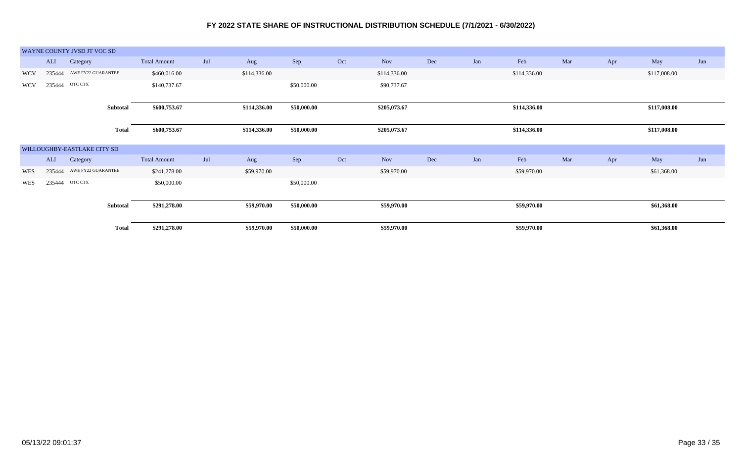|            | WAYNE COUNTY JVSD JT VOC SD  |              |                     |     |              |             |     |              |     |     |              |     |     |              |     |
|------------|------------------------------|--------------|---------------------|-----|--------------|-------------|-----|--------------|-----|-----|--------------|-----|-----|--------------|-----|
|            | ALI<br>Category              |              | <b>Total Amount</b> | Jul | Aug          | Sep         | Oct | Nov          | Dec | Jan | Feb          | Mar | Apr | May          | Jun |
| <b>WCV</b> | AWE FY22 GUARANTEE<br>235444 |              | \$460,016.00        |     | \$114,336.00 |             |     | \$114,336.00 |     |     | \$114,336.00 |     |     | \$117,008.00 |     |
| <b>WCV</b> | 235444 OTC CTX               |              | \$140,737.67        |     |              | \$50,000.00 |     | \$90,737.67  |     |     |              |     |     |              |     |
|            |                              |              |                     |     |              |             |     |              |     |     |              |     |     |              |     |
|            |                              | Subtotal     | \$600,753.67        |     | \$114,336.00 | \$50,000.00 |     | \$205,073.67 |     |     | \$114,336.00 |     |     | \$117,008.00 |     |
|            |                              |              |                     |     |              |             |     |              |     |     |              |     |     |              |     |
|            |                              | <b>Total</b> | \$600,753.67        |     | \$114,336.00 | \$50,000.00 |     | \$205,073.67 |     |     | \$114,336.00 |     |     | \$117,008.00 |     |
|            |                              |              |                     |     |              |             |     |              |     |     |              |     |     |              |     |
|            | WILLOUGHBY-EASTLAKE CITY SD  |              |                     |     |              |             |     |              |     |     |              |     |     |              |     |
|            | ALI<br>Category              |              | <b>Total Amount</b> | Jul | Aug          | Sep         | Oct | <b>Nov</b>   | Dec | Jan | Feb          | Mar | Apr | May          | Jun |
| WES        | 235444 AWE FY22 GUARANTEE    |              | \$241,278.00        |     | \$59,970.00  |             |     | \$59,970.00  |     |     | \$59,970.00  |     |     | \$61,368.00  |     |
| WES        | 235444 OTC CTX               |              | \$50,000.00         |     |              | \$50,000.00 |     |              |     |     |              |     |     |              |     |
|            |                              |              |                     |     |              |             |     |              |     |     |              |     |     |              |     |
|            |                              | Subtotal     | \$291,278.00        |     | \$59,970.00  | \$50,000.00 |     | \$59,970.00  |     |     | \$59,970.00  |     |     | \$61,368.00  |     |
|            |                              |              |                     |     |              |             |     |              |     |     |              |     |     |              |     |
|            |                              | <b>Total</b> | \$291,278.00        |     | \$59,970.00  | \$50,000.00 |     | \$59,970.00  |     |     | \$59,970.00  |     |     | \$61,368.00  |     |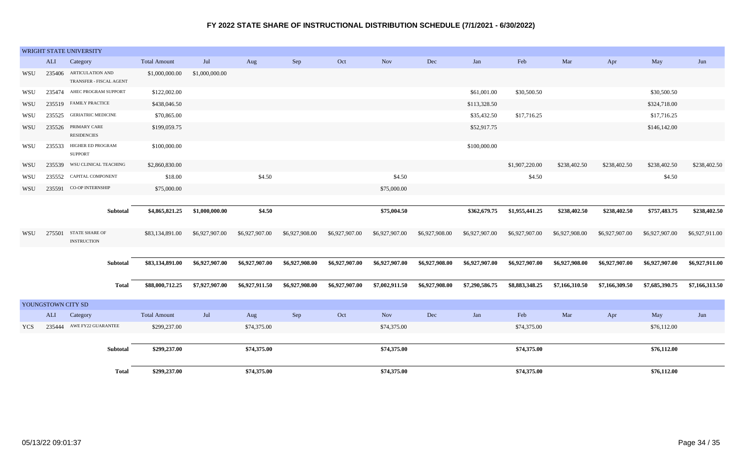|            |                    | WRIGHT STATE UNIVERSITY                            |                     |                |                |                |                |                |                |                |                |                      |                |                |                |
|------------|--------------------|----------------------------------------------------|---------------------|----------------|----------------|----------------|----------------|----------------|----------------|----------------|----------------|----------------------|----------------|----------------|----------------|
|            | <b>ALI</b>         | Category                                           | <b>Total Amount</b> | Jul            | Aug            | Sep            | Oct            | <b>Nov</b>     | $\rm Dec$      | Jan            | Feb            | Mar                  | Apr            | May            | Jun            |
| WSU        |                    | 235406 ARTICULATION AND<br>TRANSFER - FISCAL AGENT | \$1,000,000.00      | \$1,000,000.00 |                |                |                |                |                |                |                |                      |                |                |                |
| WSU        |                    | 235474 AHEC PROGRAM SUPPORT                        | \$122,002.00        |                |                |                |                |                |                | \$61,001.00    | \$30,500.50    |                      |                | \$30,500.50    |                |
| WSU        | 235519             | <b>FAMILY PRACTICE</b>                             | \$438,046.50        |                |                |                |                |                |                | \$113,328.50   |                |                      |                | \$324,718.00   |                |
| WSU        | 235525             | <b>GERIATRIC MEDICINE</b>                          | \$70,865.00         |                |                |                |                |                |                | \$35,432.50    | \$17,716.25    |                      |                | \$17,716.25    |                |
| WSU        | 235526             | PRIMARY CARE<br><b>RESIDENCIES</b>                 | \$199,059.75        |                |                |                |                |                |                | \$52,917.75    |                |                      |                | \$146,142.00   |                |
| WSU        | 235533             | HIGHER ED PROGRAM<br><b>SUPPORT</b>                | \$100,000.00        |                |                |                |                |                |                | \$100,000.00   |                |                      |                |                |                |
| WSU        | 235539             | WSU CLINICAL TEACHING                              | \$2,860,830.00      |                |                |                |                |                |                |                | \$1,907,220.00 | \$238,402.50         | \$238,402.50   | \$238,402.50   | \$238,402.50   |
| WSU        |                    | 235552 CAPITAL COMPONENT                           | \$18.00             |                | \$4.50         |                |                | \$4.50         |                |                | \$4.50         |                      |                | \$4.50         |                |
| WSU        |                    | 235591 CO-OP INTERNSHIP                            | \$75,000.00         |                |                |                |                | \$75,000.00    |                |                |                |                      |                |                |                |
|            |                    |                                                    |                     |                |                |                |                |                |                |                |                |                      |                |                |                |
|            |                    | Subtotal                                           | \$4,865,821.25      | \$1,000,000.00 | \$4.50         |                |                | \$75,004.50    |                | \$362,679.75   | \$1,955,441.25 | \$238,402.50         | \$238,402.50   | \$757,483.75   | \$238,402.50   |
| WSU        |                    | 275501 STATE SHARE OF<br><b>INSTRUCTION</b>        | \$83,134,891.00     | \$6,927,907.00 | \$6,927,907.00 | \$6,927,908.00 | \$6,927,907.00 | \$6,927,907.00 | \$6,927,908.00 | \$6,927,907.00 | \$6,927,907.00 | \$6,927,908.00       | \$6,927,907.00 | \$6,927,907.00 | \$6,927,911.00 |
|            |                    | Subtotal                                           | \$83,134,891.00     | \$6,927,907.00 | \$6,927,907.00 | \$6,927,908.00 | \$6,927,907.00 | \$6,927,907.00 | \$6,927,908.00 | \$6,927,907.00 | \$6,927,907.00 | \$6,927,908.00       | \$6,927,907.00 | \$6,927,907.00 | \$6,927,911.00 |
|            |                    | <b>Total</b>                                       | \$88,000,712.25     | \$7,927,907.00 | \$6,927,911.50 | \$6,927,908.00 | \$6,927,907.00 | \$7,002,911.50 | \$6,927,908.00 | \$7,290,586.75 | \$8,883,348.25 | \$7,166,310.50       | \$7,166,309.50 | \$7,685,390.75 | \$7,166,313.50 |
|            | YOUNGSTOWN CITY SD |                                                    |                     |                |                |                |                |                |                |                |                |                      |                |                |                |
|            | ALI                | Category                                           | <b>Total Amount</b> | Jul            | Aug            | Sep            | Oct            | <b>Nov</b>     | $\rm Dec$      | Jan            | Feb            | $\operatorname{Mar}$ | Apr            | May            | Jun            |
| <b>YCS</b> |                    | 235444 AWE FY22 GUARANTEE                          | \$299,237.00        |                | \$74,375.00    |                |                | \$74,375.00    |                |                | \$74,375.00    |                      |                | \$76,112.00    |                |
|            |                    | Subtotal                                           | \$299,237.00        |                | \$74,375.00    |                |                | \$74,375.00    |                |                | \$74,375.00    |                      |                | \$76,112.00    |                |
|            |                    | <b>Total</b>                                       | \$299,237.00        |                | \$74,375.00    |                |                | \$74,375.00    |                |                | \$74,375.00    |                      |                | \$76,112.00    |                |